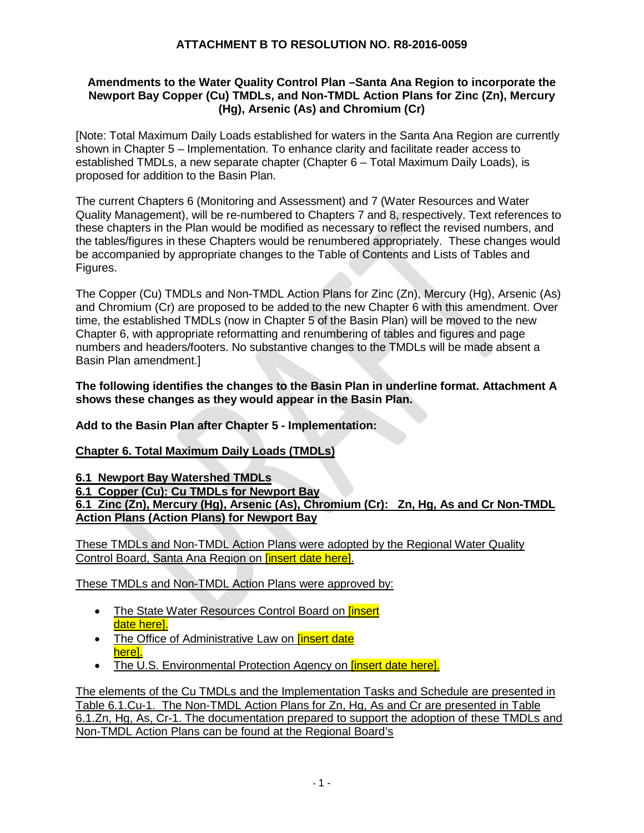#### **Amendments to the Water Quality Control Plan –Santa Ana Region to incorporate the Newport Bay Copper (Cu) TMDLs, and Non-TMDL Action Plans for Zinc (Zn), Mercury (Hg), Arsenic (As) and Chromium (Cr)**

[Note: Total Maximum Daily Loads established for waters in the Santa Ana Region are currently shown in Chapter 5 – Implementation. To enhance clarity and facilitate reader access to established TMDLs, a new separate chapter (Chapter 6 – Total Maximum Daily Loads), is proposed for addition to the Basin Plan.

The current Chapters 6 (Monitoring and Assessment) and 7 (Water Resources and Water Quality Management), will be re-numbered to Chapters 7 and 8, respectively. Text references to these chapters in the Plan would be modified as necessary to reflect the revised numbers, and the tables/figures in these Chapters would be renumbered appropriately. These changes would be accompanied by appropriate changes to the Table of Contents and Lists of Tables and Figures.

The Copper (Cu) TMDLs and Non-TMDL Action Plans for Zinc (Zn), Mercury (Hg), Arsenic (As) and Chromium (Cr) are proposed to be added to the new Chapter 6 with this amendment. Over time, the established TMDLs (now in Chapter 5 of the Basin Plan) will be moved to the new Chapter 6, with appropriate reformatting and renumbering of tables and figures and page numbers and headers/footers. No substantive changes to the TMDLs will be made absent a Basin Plan amendment.]

#### **The following identifies the changes to the Basin Plan in underline format. Attachment A shows these changes as they would appear in the Basin Plan.**

**Add to the Basin Plan after Chapter 5 - Implementation:** 

#### **Chapter 6. Total Maximum Daily Loads (TMDLs)**

**6.1 Newport Bay Watershed TMDLs**

**6.1 Copper (Cu): Cu TMDLs for Newport Bay 6.1 Zinc (Zn), Mercury (Hg), Arsenic (As), Chromium (Cr): Zn, Hg, As and Cr Non-TMDL Action Plans (Action Plans) for Newport Bay** 

These TMDLs and Non-TMDL Action Plans were adopted by the Regional Water Quality Control Board, Santa Ana Region on [insert date here].

These TMDLs and Non-TMDL Action Plans were approved by:

- The State Water Resources Control Board on *linsert* date herel.
- The Office of Administrative Law on *[insert date* here].
- The U.S. Environmental Protection Agency on **[insert date here].**

The elements of the Cu TMDLs and the Implementation Tasks and Schedule are presented in Table 6.1.Cu-1. The Non-TMDL Action Plans for Zn, Hg, As and Cr are presented in Table 6.1.Zn, Hg, As, Cr-1. The documentation prepared to support the adoption of these TMDLs and Non-TMDL Action Plans can be found at the Regional Board's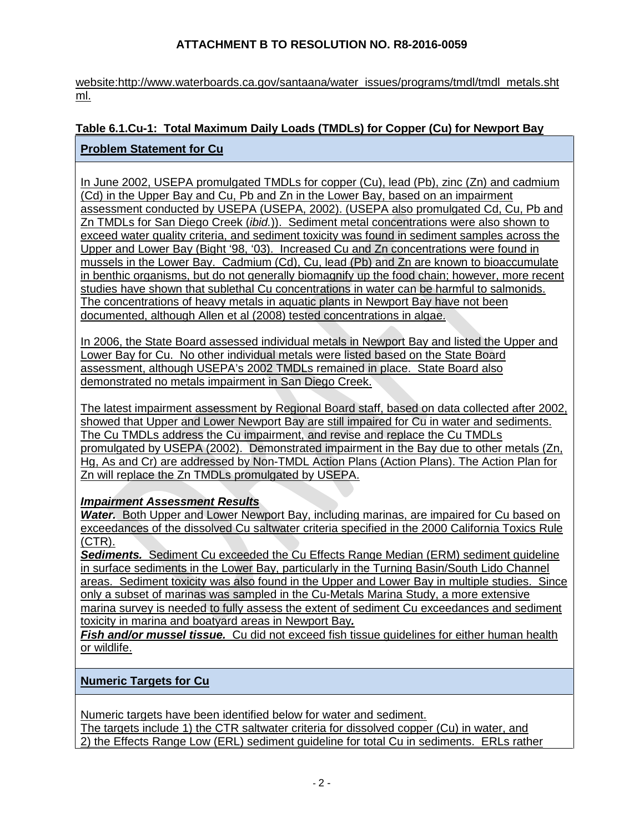website:http://www.waterboards.ca.gov/santaana/water\_issues/programs/tmdl/tmdl\_metals.sht ml.

# **Table 6.1.Cu-1: Total Maximum Daily Loads (TMDLs) for Copper (Cu) for Newport Bay**

### **Problem Statement for Cu**

In June 2002, USEPA promulgated TMDLs for copper (Cu), lead (Pb), zinc (Zn) and cadmium (Cd) in the Upper Bay and Cu, Pb and Zn in the Lower Bay, based on an impairment assessment conducted by USEPA (USEPA, 2002). (USEPA also promulgated Cd, Cu, Pb and Zn TMDLs for San Diego Creek (*ibid.*)). Sediment metal concentrations were also shown to exceed water quality criteria, and sediment toxicity was found in sediment samples across the Upper and Lower Bay (Bight '98, '03). Increased Cu and Zn concentrations were found in mussels in the Lower Bay. Cadmium (Cd), Cu, lead (Pb) and Zn are known to bioaccumulate in benthic organisms, but do not generally biomagnify up the food chain; however, more recent studies have shown that sublethal Cu concentrations in water can be harmful to salmonids. The concentrations of heavy metals in aquatic plants in Newport Bay have not been documented, although Allen et al (2008) tested concentrations in algae.

In 2006, the State Board assessed individual metals in Newport Bay and listed the Upper and Lower Bay for Cu. No other individual metals were listed based on the State Board assessment, although USEPA's 2002 TMDLs remained in place. State Board also demonstrated no metals impairment in San Diego Creek.

The latest impairment assessment by Regional Board staff, based on data collected after 2002, showed that Upper and Lower Newport Bay are still impaired for Cu in water and sediments. The Cu TMDLs address the Cu impairment, and revise and replace the Cu TMDLs promulgated by USEPA (2002). Demonstrated impairment in the Bay due to other metals (Zn, Hg, As and Cr) are addressed by Non-TMDL Action Plans (Action Plans). The Action Plan for Zn will replace the Zn TMDLs promulgated by USEPA.

### *Impairment Assessment Results*

*Water.* Both Upper and Lower Newport Bay, including marinas, are impaired for Cu based on exceedances of the dissolved Cu saltwater criteria specified in the 2000 California Toxics Rule (CTR).

*Sediments.* Sediment Cu exceeded the Cu Effects Range Median (ERM) sediment guideline in surface sediments in the Lower Bay, particularly in the Turning Basin/South Lido Channel areas. Sediment toxicity was also found in the Upper and Lower Bay in multiple studies. Since only a subset of marinas was sampled in the Cu-Metals Marina Study, a more extensive marina survey is needed to fully assess the extent of sediment Cu exceedances and sediment toxicity in marina and boatyard areas in Newport Bay*.* 

*Fish and/or mussel tissue.* Cu did not exceed fish tissue guidelines for either human health or wildlife.

### **Numeric Targets for Cu**

Numeric targets have been identified below for water and sediment.

The targets include 1) the CTR saltwater criteria for dissolved copper (Cu) in water, and 2) the Effects Range Low (ERL) sediment guideline for total Cu in sediments. ERLs rather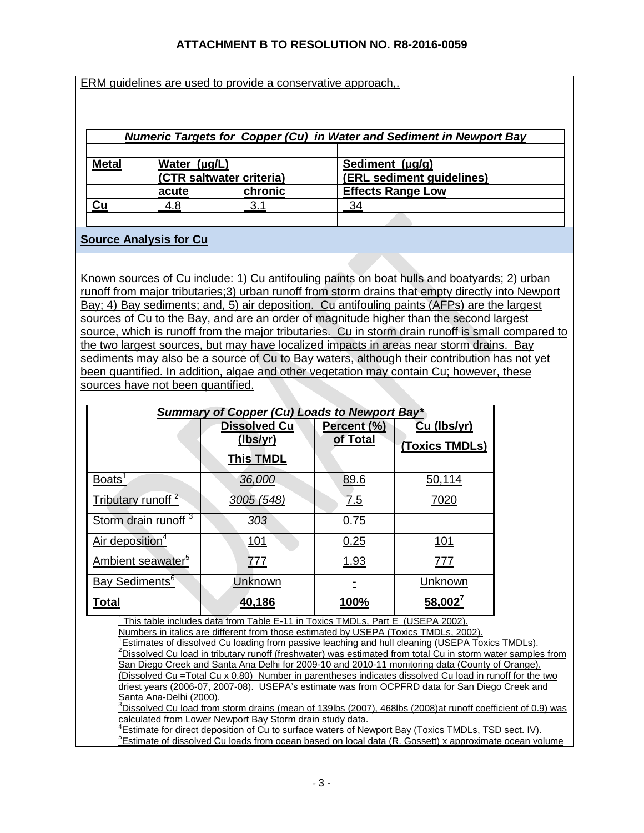ERM guidelines are used to provide a conservative approach,.

| Numeric Targets for Copper (Cu) in Water and Sediment in Newport Bay |                   |                          |                                              |
|----------------------------------------------------------------------|-------------------|--------------------------|----------------------------------------------|
| <b>Metal</b>                                                         | Water $(\mu g/L)$ | (CTR saltwater criteria) | Sediment (µg/g)<br>(ERL sediment guidelines) |
|                                                                      | acute             | chronic                  | <b>Effects Range Low</b>                     |
| Cu                                                                   | 4.8               | 3.                       | 34                                           |
|                                                                      |                   |                          |                                              |

### **Source Analysis for Cu**

Known sources of Cu include: 1) Cu antifouling paints on boat hulls and boatyards; 2) urban runoff from major tributaries;3) urban runoff from storm drains that empty directly into Newport Bay; 4) Bay sediments; and, 5) air deposition. Cu antifouling paints (AFPs) are the largest sources of Cu to the Bay, and are an order of magnitude higher than the second largest source, which is runoff from the major tributaries. Cu in storm drain runoff is small compared to the two largest sources, but may have localized impacts in areas near storm drains. Bay sediments may also be a source of Cu to Bay waters, although their contribution has not yet been quantified. In addition, algae and other vegetation may contain Cu; however, these sources have not been quantified.

| <b>Summary of Copper (Cu) Loads to Newport Bay*</b> |                                                     |                         |                               |
|-----------------------------------------------------|-----------------------------------------------------|-------------------------|-------------------------------|
|                                                     | <b>Dissolved Cu</b><br>(lbs/yr)<br><b>This TMDL</b> | Percent (%)<br>of Total | Cu (Ibs/yr)<br>(Toxics TMDLs) |
| Boats <sup>1</sup>                                  | 36,000                                              | 89.6                    | 50,114                        |
| Tributary runoff <sup>2</sup>                       | 3005 (548)                                          | 7.5                     | 7020                          |
| Storm drain runoff <sup>3</sup>                     | 303                                                 | 0.75                    |                               |
| Air deposition <sup>4</sup>                         | <u>101</u>                                          | 0.25                    | 101                           |
| Ambient seawater <sup>5</sup>                       | 777                                                 | 1.93                    | 777                           |
| Bay Sediments <sup>6</sup>                          | Unknown                                             |                         | Unknown                       |
| Total                                               | 40,186                                              | 100%                    | $58,002^7$                    |

This table includes data from Table E-11 in Toxics TMDLs, Part E (USEPA 2002).

Numbers in italics are different from those estimated by USEPA (Toxics TMDLs, 2002).

 $\frac{1}{2}$ Estimates of dissolved Cu loading from passive leaching and hull cleaning (USEPA Toxics TMDLs).<br><sup>2</sup>Dissolved Cu load in tributary rupoff (frephyster) was estimated from total Cu in sterm water samples <sup>2</sup>Dissolved Cu load in tributary runoff (freshwater) was estimated from total Cu in storm water samples from San Diego Creek and Santa Ana Delhi for 2009-10 and 2010-11 monitoring data (County of Orange). (Dissolved Cu =Total Cu x 0.80) Number in parentheses indicates dissolved Cu load in runoff for the two driest years (2006-07, 2007-08). USEPA's estimate was from OCPFRD data for San Diego Creek and<br>Santa Ana-Delhi (2000). <u>Santa Ana-Delhi (2000).</u><br><sup>3</sup>Dissolved Cu load from storm drains (mean of 139lbs (2007), 468lbs (2008)at runoff coefficient of 0.9) was

calculated from Lower Newport Bay Storm drain study data.

<sup>4</sup>Estimate for direct deposition of Cu to surface waters of Newport Bay (Toxics TMDLs, TSD sect. IV). <sup>5</sup>Estimate of dissolved Cu loads from ocean based on local data (R. Gossett) x approximate ocean volume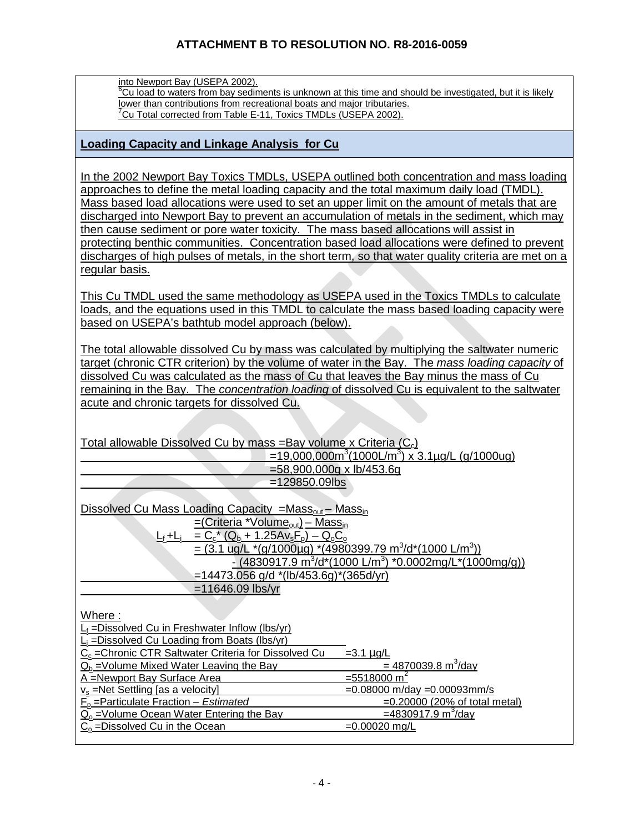into Newport Bay (USEPA 2002).

<sup>6</sup>Cu load to waters from bay sediments is unknown at this time and should be investigated, but it is likely lower than contributions from recreational boats and major tributaries.  $\mathrm{^{7}Cu}$  Total corrected from Table E-11, Toxics TMDLs (USEPA 2002).

#### **Loading Capacity and Linkage Analysis for Cu**

In the 2002 Newport Bay Toxics TMDLs, USEPA outlined both concentration and mass loading approaches to define the metal loading capacity and the total maximum daily load (TMDL). Mass based load allocations were used to set an upper limit on the amount of metals that are discharged into Newport Bay to prevent an accumulation of metals in the sediment, which may then cause sediment or pore water toxicity. The mass based allocations will assist in protecting benthic communities. Concentration based load allocations were defined to prevent discharges of high pulses of metals, in the short term, so that water quality criteria are met on a regular basis.

This Cu TMDL used the same methodology as USEPA used in the Toxics TMDLs to calculate loads, and the equations used in this TMDL to calculate the mass based loading capacity were based on USEPA's bathtub model approach (below).

The total allowable dissolved Cu by mass was calculated by multiplying the saltwater numeric target (chronic CTR criterion) by the volume of water in the Bay. The *mass loading capacity* of dissolved Cu was calculated as the mass of Cu that leaves the Bay minus the mass of Cu remaining in the Bay. The *concentration loading* of dissolved Cu is equivalent to the saltwater acute and chronic targets for dissolved Cu.

Total allowable Dissolved Cu by mass =Bay volume x Criteria  $(C_c)$ =19,000,000m<sup>3</sup> (1000L/m3 ) x 3.1µg/L (g/1000ug) =58,900,000g x lb/453.6g =129850.09lbs

| Dissolved Cu Mass Loading Capacity = $Mass_{out} - Mass_{in}$                                      |
|----------------------------------------------------------------------------------------------------|
| $=(\text{Criteria *Volume}_{\text{out}}) - \text{Mass}_{\text{in}}$                                |
| $C_{\rm c}$ (Q <sub>b</sub> + 1.25Av <sub>s</sub> F <sub>p</sub> ) – Q <sub>o</sub> C <sub>o</sub> |
| = $(3.1 \text{ ug/L}^*(q/1000 \mu g)$ * $(4980399.79 \text{ m}^3/d^*(1000 \text{ L/m}^3))$         |
| $-(4830917.9 m3/d*(1000 L/m3)$ *0.0002mg/L*(1000mg/g))                                             |
| $=14473.056$ g/d $*(lb/453.6g)*(365d/yr)$                                                          |
| $=11646.09$ lbs/yr                                                                                 |

Where :

| $L_f = Dissolved Cu$ in Freshwater Inflow (lbs/yr)               |                                      |
|------------------------------------------------------------------|--------------------------------------|
| $L_i$ = Dissolved Cu Loading from Boats (lbs/yr)                 |                                      |
| C <sub>c</sub> = Chronic CTR Saltwater Criteria for Dissolved Cu | $=3.1 \mu g/L$                       |
| $Q_b$ =Volume Mixed Water Leaving the Bay                        | $= 4870039.8 \text{ m}^3/\text{day}$ |
| A =Newport Bay Surface Area                                      | $= 5518000 \text{ m}^2$              |
| $v_s$ =Net Settling [as a velocity]                              | $=0.08000$ m/day $=0.00093$ mm/s     |
| $F0$ = Particulate Fraction – Estimated                          | $=0.20000$ (20% of total metal)      |
| $Q_0$ = Volume Ocean Water Entering the Bay                      | $=4830917.9 \text{ m}^3/\text{day}$  |
| $C_0$ = Dissolved Cu in the Ocean                                | $=0.00020$ mg/L                      |
|                                                                  |                                      |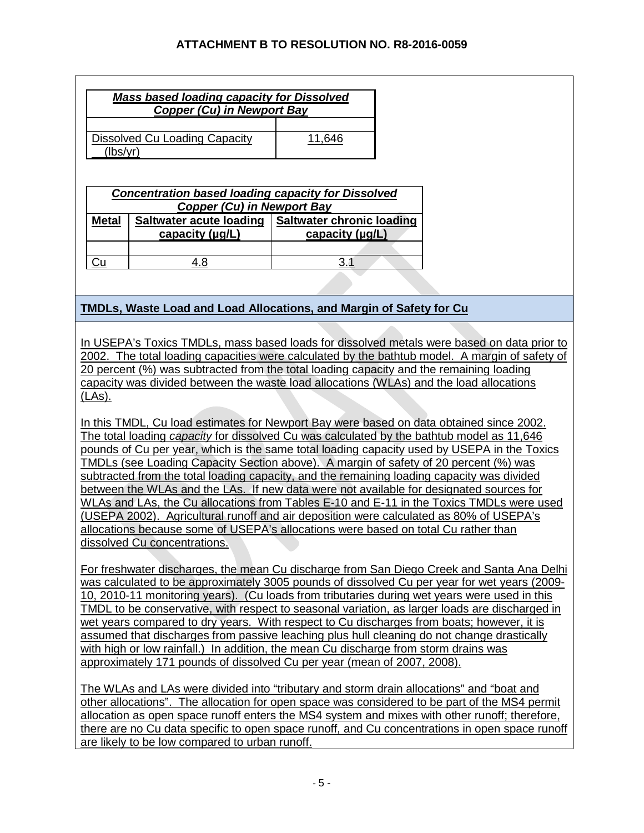| Mass based loading capacity for Dissolved<br><b>Copper (Cu) in Newport Bay</b> |                                                   |                                                     |  |  |
|--------------------------------------------------------------------------------|---------------------------------------------------|-----------------------------------------------------|--|--|
| <b>Dissolved Cu Loading Capacity</b><br>11,646<br>(lbs/yr)                     |                                                   |                                                     |  |  |
| <b>Concentration based loading capacity for Dissolved</b>                      |                                                   |                                                     |  |  |
| <b>Copper (Cu) in Newport Bay</b>                                              |                                                   |                                                     |  |  |
| <b>Metal</b>                                                                   | <b>Saltwater acute loading</b><br>capacity (µg/L) | <b>Saltwater chronic loading</b><br>capacity (µg/L) |  |  |
|                                                                                |                                                   |                                                     |  |  |

Cu | <u>4.8</u> <u>3.1</u>

# **TMDLs, Waste Load and Load Allocations, and Margin of Safety for Cu**

In USEPA's Toxics TMDLs, mass based loads for dissolved metals were based on data prior to 2002. The total loading capacities were calculated by the bathtub model. A margin of safety of 20 percent (%) was subtracted from the total loading capacity and the remaining loading capacity was divided between the waste load allocations (WLAs) and the load allocations (LAs).

In this TMDL, Cu load estimates for Newport Bay were based on data obtained since 2002. The total loading *capacity* for dissolved Cu was calculated by the bathtub model as 11,646 pounds of Cu per year, which is the same total loading capacity used by USEPA in the Toxics TMDLs (see Loading Capacity Section above). A margin of safety of 20 percent (%) was subtracted from the total loading capacity, and the remaining loading capacity was divided between the WLAs and the LAs. If new data were not available for designated sources for WLAs and LAs, the Cu allocations from Tables E-10 and E-11 in the Toxics TMDLs were used (USEPA 2002). Agricultural runoff and air deposition were calculated as 80% of USEPA's allocations because some of USEPA's allocations were based on total Cu rather than dissolved Cu concentrations.

For freshwater discharges, the mean Cu discharge from San Diego Creek and Santa Ana Delhi was calculated to be approximately 3005 pounds of dissolved Cu per year for wet years (2009- 10, 2010-11 monitoring years). (Cu loads from tributaries during wet years were used in this TMDL to be conservative, with respect to seasonal variation, as larger loads are discharged in wet years compared to dry years. With respect to Cu discharges from boats; however, it is assumed that discharges from passive leaching plus hull cleaning do not change drastically with high or low rainfall.) In addition, the mean Cu discharge from storm drains was approximately 171 pounds of dissolved Cu per year (mean of 2007, 2008).

The WLAs and LAs were divided into "tributary and storm drain allocations" and "boat and other allocations". The allocation for open space was considered to be part of the MS4 permit allocation as open space runoff enters the MS4 system and mixes with other runoff; therefore, there are no Cu data specific to open space runoff, and Cu concentrations in open space runoff are likely to be low compared to urban runoff.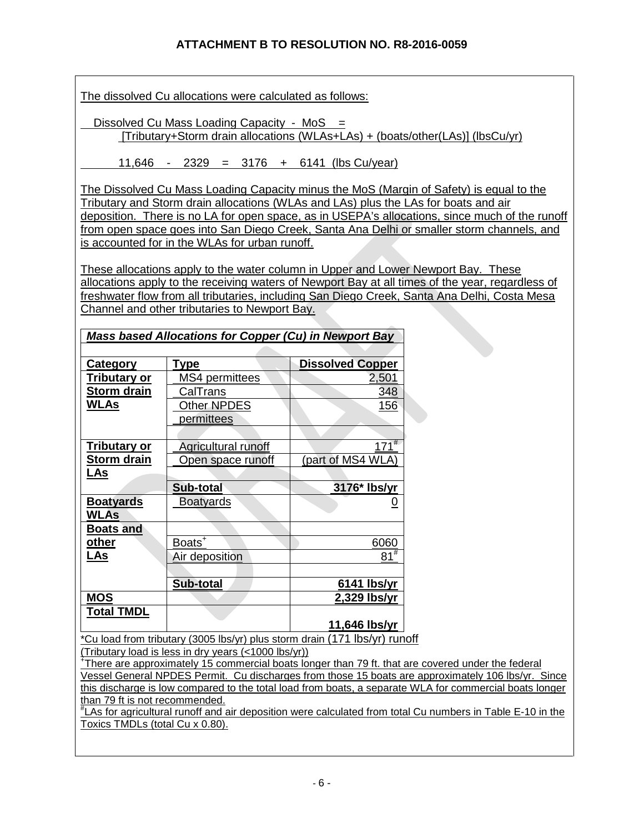The dissolved Cu allocations were calculated as follows:

Dissolved Cu Mass Loading Capacity - MoS = [Tributary+Storm drain allocations (WLAs+LAs) + (boats/other(LAs)] (lbsCu/yr)

11,646 - 2329 = 3176 + 6141 (lbs Cu/year)

The Dissolved Cu Mass Loading Capacity minus the MoS (Margin of Safety) is equal to the Tributary and Storm drain allocations (WLAs and LAs) plus the LAs for boats and air deposition. There is no LA for open space, as in USEPA's allocations, since much of the runoff from open space goes into San Diego Creek, Santa Ana Delhi or smaller storm channels, and is accounted for in the WLAs for urban runoff.

These allocations apply to the water column in Upper and Lower Newport Bay. These allocations apply to the receiving waters of Newport Bay at all times of the year, regardless of freshwater flow from all tributaries, including San Diego Creek, Santa Ana Delhi, Costa Mesa Channel and other tributaries to Newport Bay.

| <b>Category</b>     | <b>Type</b>         | <b>Dissolved Copper</b>                                                    |
|---------------------|---------------------|----------------------------------------------------------------------------|
| <u>Tributary or</u> | MS4 permittees      | 2,501                                                                      |
| Storm drain         | CalTrans            | 348                                                                        |
| WLAs                | Other NPDES         | <u>156</u>                                                                 |
|                     | permittees          |                                                                            |
|                     |                     |                                                                            |
| Tributary or        | Agricultural runoff | $171^{#}$                                                                  |
| <b>Storm drain</b>  | Open space runoff   | (part of MS4 WLA)                                                          |
| <u>LAs</u>          |                     |                                                                            |
|                     | Sub-total           | 3176* Ibs/yr                                                               |
| <b>Boatyards</b>    | <b>Boatyards</b>    | <u>0</u>                                                                   |
| WLAs                |                     |                                                                            |
| <b>Boats and</b>    |                     |                                                                            |
| other               | Boats <sup>+</sup>  | 6060                                                                       |
| <u>LAs</u>          | Air deposition      | $81^{\overline{\#}}$                                                       |
|                     |                     |                                                                            |
|                     | Sub-total           | 6141 lbs/yr                                                                |
| <b>MOS</b>          |                     | 2,329 lbs/yr                                                               |
| <b>Total TMDL</b>   |                     |                                                                            |
|                     | $\cdots$ $\cdots$   | 11,646 lbs/yr<br>$\lambda$ $\rightarrow$ $\lambda$ $\rightarrow$ $\lambda$ |

*Mass based Allocations for Copper (Cu) in Newport Bay* 

\*Cu load from tributary (3005 lbs/yr) plus storm drain (171 lbs/yr) runoff (Tributary load is less in dry years (<1000 lbs/yr))

+ There are approximately 15 commercial boats longer than 79 ft. that are covered under the federal Vessel General NPDES Permit. Cu discharges from those 15 boats are approximately 106 lbs/yr. Since this discharge is low compared to the total load from boats, a separate WLA for commercial boats longer than 79 ft is not recommended.

# LAs for agricultural runoff and air deposition were calculated from total Cu numbers in Table E-10 in the Toxics TMDLs (total Cu x 0.80).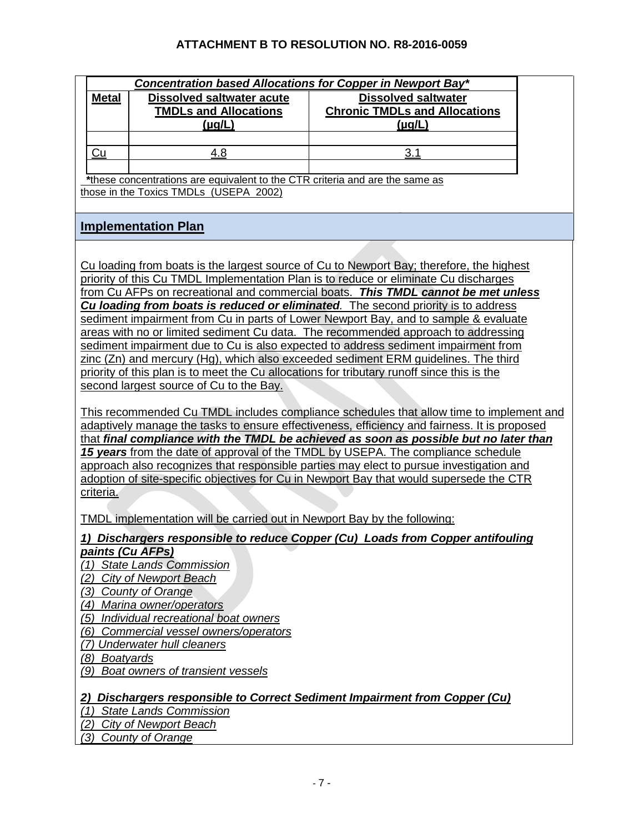|                                           | Concentration based Allocations for Copper in Newport Bay*                   |                                                                                              |  |  |
|-------------------------------------------|------------------------------------------------------------------------------|----------------------------------------------------------------------------------------------|--|--|
| <b>Metal</b>                              | <b>Dissolved saltwater acute</b>                                             | <b>Dissolved saltwater</b>                                                                   |  |  |
|                                           | <b>TMDLs and Allocations</b>                                                 | <b>Chronic TMDLs and Allocations</b>                                                         |  |  |
|                                           | <u>(µg/L)</u>                                                                | <u>(µg/L)</u>                                                                                |  |  |
|                                           |                                                                              |                                                                                              |  |  |
| Cu                                        | 4.8                                                                          | 3.1                                                                                          |  |  |
|                                           |                                                                              |                                                                                              |  |  |
|                                           | *these concentrations are equivalent to the CTR criteria and are the same as |                                                                                              |  |  |
|                                           | those in the Toxics TMDLs (USEPA 2002)                                       |                                                                                              |  |  |
|                                           |                                                                              |                                                                                              |  |  |
|                                           |                                                                              |                                                                                              |  |  |
|                                           | <b>Implementation Plan</b>                                                   |                                                                                              |  |  |
|                                           |                                                                              |                                                                                              |  |  |
|                                           |                                                                              | Cu loading from boats is the largest source of Cu to Newport Bay; therefore, the highest     |  |  |
|                                           |                                                                              | priority of this Cu TMDL Implementation Plan is to reduce or eliminate Cu discharges         |  |  |
|                                           |                                                                              | from Cu AFPs on recreational and commercial boats. This TMDL cannot be met unless            |  |  |
|                                           |                                                                              | Cu loading from boats is reduced or eliminated. The second priority is to address            |  |  |
|                                           |                                                                              | sediment impairment from Cu in parts of Lower Newport Bay, and to sample & evaluate          |  |  |
|                                           |                                                                              | areas with no or limited sediment Cu data. The recommended approach to addressing            |  |  |
|                                           |                                                                              | sediment impairment due to Cu is also expected to address sediment impairment from           |  |  |
|                                           |                                                                              | zinc (Zn) and mercury (Hg), which also exceeded sediment ERM guidelines. The third           |  |  |
|                                           |                                                                              | priority of this plan is to meet the Cu allocations for tributary runoff since this is the   |  |  |
|                                           | second largest source of Cu to the Bay.                                      |                                                                                              |  |  |
|                                           |                                                                              |                                                                                              |  |  |
|                                           |                                                                              | This recommended Cu TMDL includes compliance schedules that allow time to implement and      |  |  |
|                                           |                                                                              | adaptively manage the tasks to ensure effectiveness, efficiency and fairness. It is proposed |  |  |
|                                           |                                                                              | that final compliance with the TMDL be achieved as soon as possible but no later than        |  |  |
|                                           |                                                                              | 15 years from the date of approval of the TMDL by USEPA. The compliance schedule             |  |  |
|                                           |                                                                              | approach also recognizes that responsible parties may elect to pursue investigation and      |  |  |
|                                           |                                                                              | adoption of site-specific objectives for Cu in Newport Bay that would supersede the CTR      |  |  |
| criteria.                                 |                                                                              |                                                                                              |  |  |
|                                           |                                                                              |                                                                                              |  |  |
|                                           | TMDL implementation will be carried out in Newport Bay by the following:     |                                                                                              |  |  |
|                                           |                                                                              |                                                                                              |  |  |
|                                           |                                                                              | 1) Dischargers responsible to reduce Copper (Cu) Loads from Copper antifouling               |  |  |
| <u>paints (Cu AFPs)</u>                   |                                                                              |                                                                                              |  |  |
| (1)                                       | <b>State Lands Commission</b>                                                |                                                                                              |  |  |
|                                           | (2) City of Newport Beach                                                    |                                                                                              |  |  |
|                                           | (3) County of Orange                                                         |                                                                                              |  |  |
|                                           | (4) Marina owner/operators                                                   |                                                                                              |  |  |
| (5)                                       | Individual recreational boat owners                                          |                                                                                              |  |  |
| Commercial vessel owners/operators<br>(6) |                                                                              |                                                                                              |  |  |
| (7) Underwater hull cleaners              |                                                                              |                                                                                              |  |  |
|                                           | (8) Boatyards                                                                |                                                                                              |  |  |
|                                           | (9) Boat owners of transient vessels                                         |                                                                                              |  |  |
|                                           |                                                                              |                                                                                              |  |  |
| 2)                                        |                                                                              | Dischargers responsible to Correct Sediment Impairment from Copper (Cu)                      |  |  |
| <b>State Lands Commission</b><br>(1)      |                                                                              |                                                                                              |  |  |
| <b>City of Newport Beach</b><br>(2)       |                                                                              |                                                                                              |  |  |
|                                           | (3) County of Orange                                                         |                                                                                              |  |  |
|                                           |                                                                              |                                                                                              |  |  |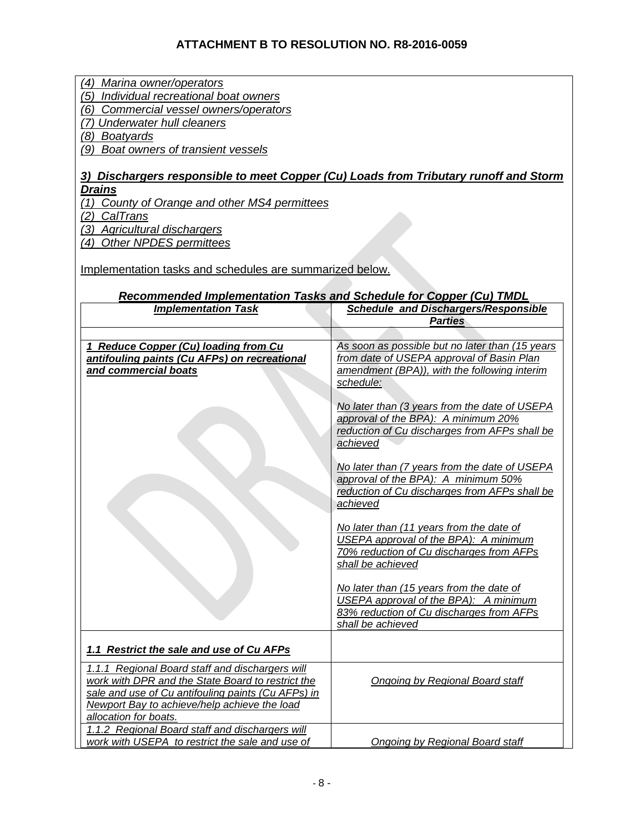*(4) Marina owner/operators (5) Individual recreational boat owners* 

*(6) Commercial vessel owners/operators*

*(7) Underwater hull cleaners*

*(8) Boatyards* 

*(9) Boat owners of transient vessels*

### *3) Dischargers responsible to meet Copper (Cu) Loads from Tributary runoff and Storm Drains*

*(1) County of Orange and other MS4 permittees* 

*(2) CalTrans* 

*(3) Agricultural dischargers* 

*(4) Other NPDES permittees* 

Implementation tasks and schedules are summarized below.

### *Recommended Implementation Tasks and Schedule for Copper (Cu) TMDL*

| <b>Implementation Task</b>                                            | <b>Schedule and Dischargers/Responsible</b>                                       |
|-----------------------------------------------------------------------|-----------------------------------------------------------------------------------|
|                                                                       | <b>Parties</b>                                                                    |
|                                                                       |                                                                                   |
| 1 Reduce Copper (Cu) loading from Cu                                  | As soon as possible but no later than (15 years                                   |
| antifouling paints (Cu AFPs) on recreational                          | from date of USEPA approval of Basin Plan                                         |
| and commercial boats                                                  | amendment (BPA)), with the following interim                                      |
|                                                                       | schedule:                                                                         |
|                                                                       |                                                                                   |
|                                                                       | No later than (3 years from the date of USEPA                                     |
|                                                                       | approval of the BPA): A minimum 20%                                               |
|                                                                       | reduction of Cu discharges from AFPs shall be<br>achieved                         |
|                                                                       |                                                                                   |
|                                                                       | No later than (7 years from the date of USEPA                                     |
|                                                                       | approval of the BPA): A minimum 50%                                               |
|                                                                       | reduction of Cu discharges from AFPs shall be                                     |
|                                                                       | achieved                                                                          |
|                                                                       |                                                                                   |
|                                                                       | No later than (11 years from the date of                                          |
|                                                                       | USEPA approval of the BPA): A minimum                                             |
|                                                                       | 70% reduction of Cu discharges from AFPs                                          |
|                                                                       | shall be achieved                                                                 |
|                                                                       |                                                                                   |
|                                                                       | No later than (15 years from the date of<br>USEPA approval of the BPA): A minimum |
|                                                                       | 83% reduction of Cu discharges from AFPs                                          |
|                                                                       | shall be achieved                                                                 |
|                                                                       |                                                                                   |
| 1.1 Restrict the sale and use of Cu AFPs                              |                                                                                   |
|                                                                       |                                                                                   |
| 1.1.1 Regional Board staff and dischargers will                       |                                                                                   |
| work with DPR and the State Board to restrict the                     | Ongoing by Regional Board staff                                                   |
| sale and use of Cu antifouling paints (Cu AFPs) in                    |                                                                                   |
| Newport Bay to achieve/help achieve the load<br>allocation for boats. |                                                                                   |
| 1.1.2 Regional Board staff and dischargers will                       |                                                                                   |
| work with USEPA to restrict the sale and use of                       | Ongoing by Regional Board staff                                                   |
|                                                                       |                                                                                   |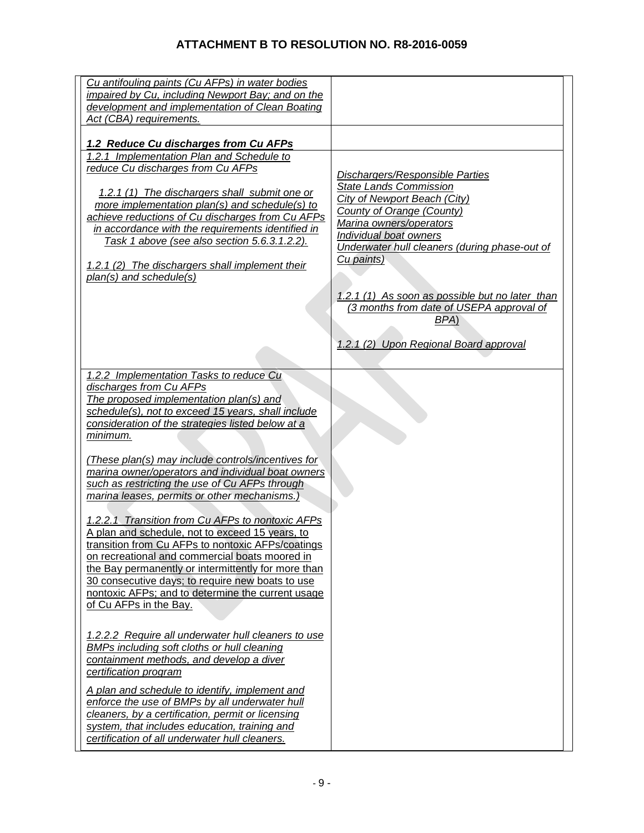| Cu antifouling paints (Cu AFPs) in water bodies                                                         |                                                                                             |
|---------------------------------------------------------------------------------------------------------|---------------------------------------------------------------------------------------------|
| impaired by Cu, including Newport Bay; and on the<br>development and implementation of Clean Boating    |                                                                                             |
| Act (CBA) requirements.                                                                                 |                                                                                             |
|                                                                                                         |                                                                                             |
| 1.2 Reduce Cu discharges from Cu AFPs                                                                   |                                                                                             |
| 1.2.1 Implementation Plan and Schedule to                                                               |                                                                                             |
| reduce Cu discharges from Cu AFPs                                                                       | <b>Dischargers/Responsible Parties</b>                                                      |
| 1.2.1 (1) The dischargers shall submit one or                                                           | <b>State Lands Commission</b>                                                               |
| more implementation plan(s) and schedule(s) to                                                          | City of Newport Beach (City)                                                                |
| achieve reductions of Cu discharges from Cu AFPs                                                        | County of Orange (County)<br>Marina owners/operators                                        |
| in accordance with the requirements identified in                                                       | Individual boat owners                                                                      |
| Task 1 above (see also section 5.6.3.1.2.2).                                                            | Underwater hull cleaners (during phase-out of                                               |
| 1.2.1 (2) The dischargers shall implement their                                                         | Cu paints)                                                                                  |
| $plan(s)$ and schedule(s)                                                                               |                                                                                             |
|                                                                                                         |                                                                                             |
|                                                                                                         | 1.2.1 (1) As soon as possible but no later than<br>(3 months from date of USEPA approval of |
|                                                                                                         | BPA)                                                                                        |
|                                                                                                         |                                                                                             |
|                                                                                                         | 1.2.1 (2) Upon Regional Board approval                                                      |
|                                                                                                         |                                                                                             |
| 1.2.2 Implementation Tasks to reduce Cu                                                                 |                                                                                             |
| discharges from Cu AFPs                                                                                 |                                                                                             |
| The proposed implementation plan(s) and                                                                 |                                                                                             |
| schedule(s), not to exceed 15 years, shall include<br>consideration of the strategies listed below at a |                                                                                             |
| <u>minimum.</u>                                                                                         |                                                                                             |
|                                                                                                         |                                                                                             |
| (These plan(s) may include controls/incentives for                                                      |                                                                                             |
| marina owner/operators and individual boat owners                                                       |                                                                                             |
| such as restricting the use of Cu AFPs through                                                          |                                                                                             |
| marina leases, permits or other mechanisms.)                                                            |                                                                                             |
| 1.2.2.1 Transition from Cu AFPs to nontoxic AFPs                                                        |                                                                                             |
| A plan and schedule, not to exceed 15 years, to                                                         |                                                                                             |
| transition from Cu AFPs to nontoxic AFPs/coatings                                                       |                                                                                             |
| on recreational and commercial boats moored in                                                          |                                                                                             |
| the Bay permanently or intermittently for more than                                                     |                                                                                             |
| 30 consecutive days; to require new boats to use<br>nontoxic AFPs; and to determine the current usage   |                                                                                             |
| of Cu AFPs in the Bay.                                                                                  |                                                                                             |
|                                                                                                         |                                                                                             |
| 1.2.2.2 Require all underwater hull cleaners to use                                                     |                                                                                             |
| <b>BMPs including soft cloths or hull cleaning</b>                                                      |                                                                                             |
| containment methods, and develop a diver                                                                |                                                                                             |
| certification program                                                                                   |                                                                                             |
| A plan and schedule to identify, implement and                                                          |                                                                                             |
| enforce the use of BMPs by all underwater hull                                                          |                                                                                             |
| cleaners, by a certification, permit or licensing                                                       |                                                                                             |
| system, that includes education, training and                                                           |                                                                                             |
| certification of all underwater hull cleaners.                                                          |                                                                                             |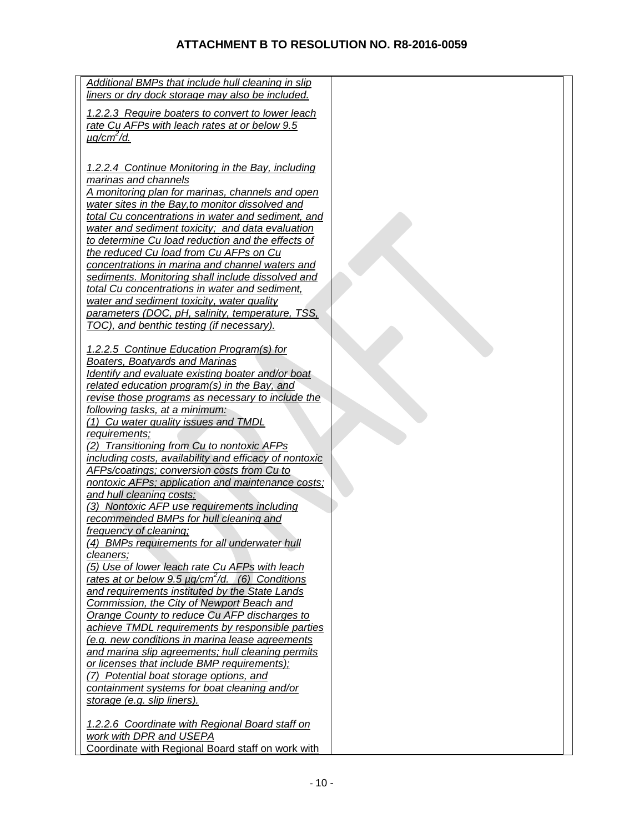| Additional BMPs that include hull cleaning in slip               |  |
|------------------------------------------------------------------|--|
| liners or dry dock storage may also be included.                 |  |
|                                                                  |  |
| 1.2.2.3 Require boaters to convert to lower leach                |  |
| rate Cu AFPs with leach rates at or below 9.5                    |  |
| $\mu q/cm^2/d$ .                                                 |  |
|                                                                  |  |
|                                                                  |  |
| 1.2.2.4 Continue Monitoring in the Bay, including                |  |
| marinas and channels                                             |  |
| A monitoring plan for marinas, channels and open                 |  |
| water sites in the Bay, to monitor dissolved and                 |  |
| total Cu concentrations in water and sediment, and               |  |
| water and sediment toxicity; and data evaluation                 |  |
| to determine Cu load reduction and the effects of                |  |
| the reduced Cu load from Cu AFPs on Cu                           |  |
| concentrations in marina and channel waters and                  |  |
| sediments. Monitoring shall include dissolved and                |  |
|                                                                  |  |
| total Cu concentrations in water and sediment,                   |  |
| water and sediment toxicity, water quality                       |  |
| parameters (DOC, pH, salinity, temperature, TSS,                 |  |
| TOC), and benthic testing (if necessary).                        |  |
|                                                                  |  |
| 1.2.2.5 Continue Education Program(s) for                        |  |
| Boaters, Boatyards and Marinas                                   |  |
| Identify and evaluate existing boater and/or boat                |  |
| related education program(s) in the Bay, and                     |  |
| revise those programs as necessary to include the                |  |
| following tasks, at a minimum:                                   |  |
| (1) Cu water quality issues and TMDL                             |  |
| requirements;                                                    |  |
| (2) Transitioning from Cu to nontoxic AFPs                       |  |
|                                                                  |  |
| including costs, availability and efficacy of nontoxic           |  |
| <b>AFPs/coatings; conversion costs from Cu to</b>                |  |
| nontoxic AFPs; application and maintenance costs;                |  |
| and hull cleaning costs;                                         |  |
| (3) Nontoxic AFP use requirements including                      |  |
| recommended BMPs for hull cleaning and                           |  |
| frequency of cleaning;                                           |  |
| (4) BMPs requirements for all underwater hull                    |  |
| cleaners;                                                        |  |
| (5) Use of lower leach rate Cu AFPs with leach                   |  |
| rates at or below 9.5 $\mu$ g/cm <sup>2</sup> /d. (6) Conditions |  |
| and requirements instituted by the State Lands                   |  |
| Commission, the City of Newport Beach and                        |  |
| Orange County to reduce Cu AFP discharges to                     |  |
| achieve TMDL requirements by responsible parties                 |  |
|                                                                  |  |
| (e.g. new conditions in marina lease agreements                  |  |
| and marina slip agreements; hull cleaning permits                |  |
| or licenses that include BMP requirements);                      |  |
| (7) Potential boat storage options, and                          |  |
| containment systems for boat cleaning and/or                     |  |
| storage (e.g. slip liners).                                      |  |
|                                                                  |  |
| 1.2.2.6 Coordinate with Regional Board staff on                  |  |
| work with DPR and USEPA                                          |  |
| Coordinate with Regional Board staff on work with                |  |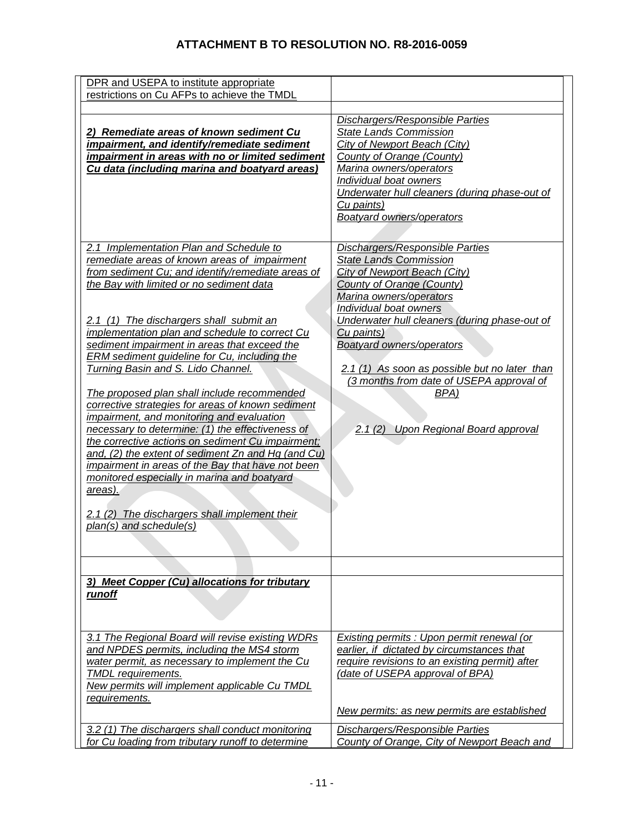| DPR and USEPA to institute appropriate<br>restrictions on Cu AFPs to achieve the TMDL                                                                                                                                                                                                                                                                                                                                                                                                                                                                                                                                                                                                                                                                                                                                                                                                                                                    |                                                                                                                                                                                                                                                                                                                                                                                                                                                  |
|------------------------------------------------------------------------------------------------------------------------------------------------------------------------------------------------------------------------------------------------------------------------------------------------------------------------------------------------------------------------------------------------------------------------------------------------------------------------------------------------------------------------------------------------------------------------------------------------------------------------------------------------------------------------------------------------------------------------------------------------------------------------------------------------------------------------------------------------------------------------------------------------------------------------------------------|--------------------------------------------------------------------------------------------------------------------------------------------------------------------------------------------------------------------------------------------------------------------------------------------------------------------------------------------------------------------------------------------------------------------------------------------------|
| 2) Remediate areas of known sediment Cu<br>impairment, and identify/remediate sediment<br>impairment in areas with no or limited sediment<br>Cu data (including marina and boatyard areas)                                                                                                                                                                                                                                                                                                                                                                                                                                                                                                                                                                                                                                                                                                                                               | <b>Dischargers/Responsible Parties</b><br><b>State Lands Commission</b><br>City of Newport Beach (City)<br>County of Orange (County)<br>Marina owners/operators<br>Individual boat owners<br>Underwater hull cleaners (during phase-out of<br>Cu paints)<br><b>Boatyard owners/operators</b>                                                                                                                                                     |
| 2.1 Implementation Plan and Schedule to<br>remediate areas of known areas of impairment<br>from sediment Cu; and identify/remediate areas of<br>the Bay with limited or no sediment data<br>2.1 (1) The dischargers shall submit an<br>implementation plan and schedule to correct Cu<br>sediment impairment in areas that exceed the<br>ERM sediment guideline for Cu, including the<br>Turning Basin and S. Lido Channel.<br>The proposed plan shall include recommended<br>corrective strategies for areas of known sediment<br>impairment, and monitoring and evaluation<br>necessary to determine: (1) the effectiveness of<br>the corrective actions on sediment Cu impairment;<br>and, $(2)$ the extent of sediment Zn and Hg (and Cu)<br>impairment in areas of the Bay that have not been<br>monitored especially in marina and boatyard<br>areas).<br>2.1 (2) The dischargers shall implement their<br>plan(s) and schedule(s) | <b>Dischargers/Responsible Parties</b><br><b>State Lands Commission</b><br><b>City of Newport Beach (City)</b><br>County of Orange (County)<br>Marina owners/operators<br>Individual boat owners<br>Underwater hull cleaners (during phase-out of<br>Cu paints)<br><b>Boatyard owners/operators</b><br>2.1 (1) As soon as possible but no later than<br>(3 months from date of USEPA approval of<br>BPA)<br>2.1 (2) Upon Regional Board approval |
|                                                                                                                                                                                                                                                                                                                                                                                                                                                                                                                                                                                                                                                                                                                                                                                                                                                                                                                                          |                                                                                                                                                                                                                                                                                                                                                                                                                                                  |
| 3) Meet Copper (Cu) allocations for tributary<br>runoff                                                                                                                                                                                                                                                                                                                                                                                                                                                                                                                                                                                                                                                                                                                                                                                                                                                                                  |                                                                                                                                                                                                                                                                                                                                                                                                                                                  |
| 3.1 The Regional Board will revise existing WDRs<br>and NPDES permits, including the MS4 storm<br>water permit, as necessary to implement the Cu<br><b>TMDL</b> requirements.<br>New permits will implement applicable Cu TMDL<br>requirements.                                                                                                                                                                                                                                                                                                                                                                                                                                                                                                                                                                                                                                                                                          | <b>Existing permits : Upon permit renewal (or</b><br>earlier, if dictated by circumstances that<br>require revisions to an existing permit) after<br>(date of USEPA approval of BPA)<br>New permits: as new permits are established                                                                                                                                                                                                              |
| 3.2 (1) The dischargers shall conduct monitoring<br>for Cu loading from tributary runoff to determine                                                                                                                                                                                                                                                                                                                                                                                                                                                                                                                                                                                                                                                                                                                                                                                                                                    | <b>Dischargers/Responsible Parties</b><br>County of Orange, City of Newport Beach and                                                                                                                                                                                                                                                                                                                                                            |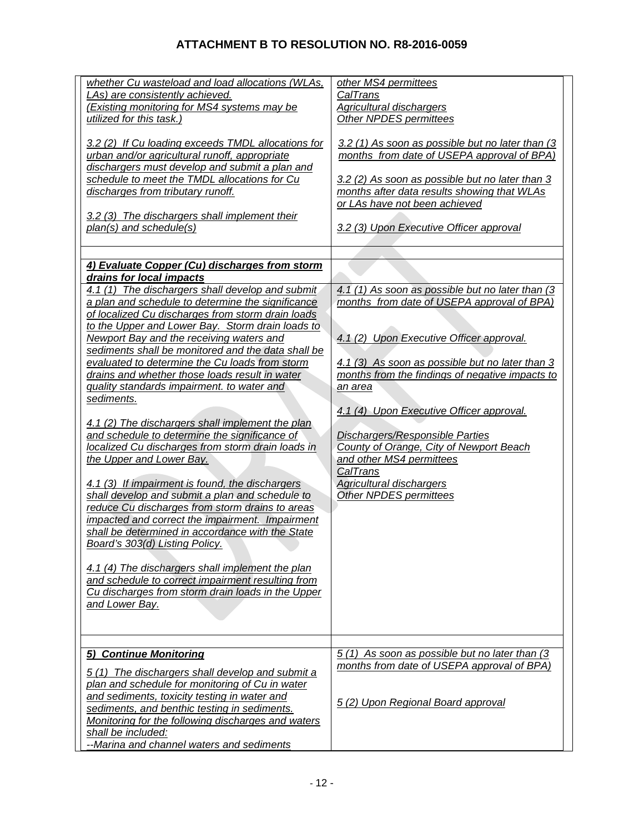| whether Cu wasteload and load allocations (WLAs,<br>LAs) are consistently achieved.<br>(Existing monitoring for MS4 systems may be<br>utilized for this task.)<br>3.2 (2) If Cu loading exceeds TMDL allocations for<br>urban and/or agricultural runoff, appropriate<br>dischargers must develop and submit a plan and<br>schedule to meet the TMDL allocations for Cu<br>discharges from tributary runoff.<br>3.2 (3) The dischargers shall implement their<br>plan(s) and schedule(s)<br>4) Evaluate Copper (Cu) discharges from storm<br>drains for local impacts<br>4.1 (1) The dischargers shall develop and submit<br>a plan and schedule to determine the significance<br>of localized Cu discharges from storm drain loads<br>to the Upper and Lower Bay. Storm drain loads to<br>Newport Bay and the receiving waters and<br>sediments shall be monitored and the data shall be<br>evaluated to determine the Cu loads from storm<br>drains and whether those loads result in water<br>quality standards impairment. to water and<br>sediments.<br>4.1 (2) The dischargers shall implement the plan<br>and schedule to determine the significance of<br>localized Cu discharges from storm drain loads in<br>the Upper and Lower Bay.<br>4.1 (3) If impairment is found, the dischargers<br>shall develop and submit a plan and schedule to<br>reduce Cu discharges from storm drains to areas<br>impacted and correct the impairment. Impairment<br>shall be determined in accordance with the State<br>Board's 303(d) Listing Policy. | other MS4 permittees<br>CalTrans<br>Agricultural dischargers<br>Other NPDES permittees<br>3.2 (1) As soon as possible but no later than (3<br>months from date of USEPA approval of BPA)<br>3.2 (2) As soon as possible but no later than 3<br>months after data results showing that WLAs<br>or LAs have not been achieved<br>3.2 (3) Upon Executive Officer approval<br>4.1 (1) As soon as possible but no later than (3<br>months from date of USEPA approval of BPA)<br>4.1 (2) Upon Executive Officer approval.<br>4.1 (3) As soon as possible but no later than 3<br>months from the findings of negative impacts to<br><u>an area</u><br>4.1 (4) Upon Executive Officer approval.<br><b>Dischargers/Responsible Parties</b><br>County of Orange, City of Newport Beach<br>and other MS4 permittees<br>CalTrans<br><b>Agricultural dischargers</b><br>Other NPDES permittees |
|---------------------------------------------------------------------------------------------------------------------------------------------------------------------------------------------------------------------------------------------------------------------------------------------------------------------------------------------------------------------------------------------------------------------------------------------------------------------------------------------------------------------------------------------------------------------------------------------------------------------------------------------------------------------------------------------------------------------------------------------------------------------------------------------------------------------------------------------------------------------------------------------------------------------------------------------------------------------------------------------------------------------------------------------------------------------------------------------------------------------------------------------------------------------------------------------------------------------------------------------------------------------------------------------------------------------------------------------------------------------------------------------------------------------------------------------------------------------------------------------------------------------------------------------------|------------------------------------------------------------------------------------------------------------------------------------------------------------------------------------------------------------------------------------------------------------------------------------------------------------------------------------------------------------------------------------------------------------------------------------------------------------------------------------------------------------------------------------------------------------------------------------------------------------------------------------------------------------------------------------------------------------------------------------------------------------------------------------------------------------------------------------------------------------------------------------|
| 4.1 (4) The dischargers shall implement the plan<br>and schedule to correct impairment resulting from<br>Cu discharges from storm drain loads in the Upper<br>and Lower Bay.                                                                                                                                                                                                                                                                                                                                                                                                                                                                                                                                                                                                                                                                                                                                                                                                                                                                                                                                                                                                                                                                                                                                                                                                                                                                                                                                                                      |                                                                                                                                                                                                                                                                                                                                                                                                                                                                                                                                                                                                                                                                                                                                                                                                                                                                                    |
|                                                                                                                                                                                                                                                                                                                                                                                                                                                                                                                                                                                                                                                                                                                                                                                                                                                                                                                                                                                                                                                                                                                                                                                                                                                                                                                                                                                                                                                                                                                                                   |                                                                                                                                                                                                                                                                                                                                                                                                                                                                                                                                                                                                                                                                                                                                                                                                                                                                                    |
| 5)<br><b>Continue Monitoring</b><br>5(1) The dischargers shall develop and submit a<br>plan and schedule for monitoring of Cu in water                                                                                                                                                                                                                                                                                                                                                                                                                                                                                                                                                                                                                                                                                                                                                                                                                                                                                                                                                                                                                                                                                                                                                                                                                                                                                                                                                                                                            | $5(1)$ As soon as possible but no later than (3)<br>months from date of USEPA approval of BPA)                                                                                                                                                                                                                                                                                                                                                                                                                                                                                                                                                                                                                                                                                                                                                                                     |
| and sediments, toxicity testing in water and<br>sediments, and benthic testing in sediments.<br>Monitoring for the following discharges and waters<br>shall be included:<br>--Marina and channel waters and sediments                                                                                                                                                                                                                                                                                                                                                                                                                                                                                                                                                                                                                                                                                                                                                                                                                                                                                                                                                                                                                                                                                                                                                                                                                                                                                                                             | 5 (2) Upon Regional Board approval                                                                                                                                                                                                                                                                                                                                                                                                                                                                                                                                                                                                                                                                                                                                                                                                                                                 |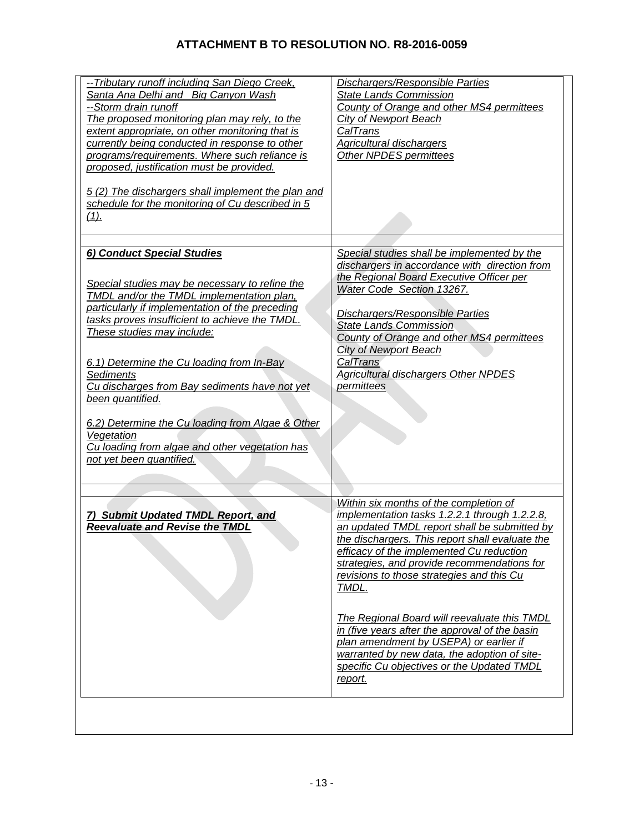| -- Tributary runoff including San Diego Creek,<br>Santa Ana Delhi and Big Canyon Wash<br>--Storm drain runoff<br>The proposed monitoring plan may rely, to the<br>extent appropriate, on other monitoring that is<br>currently being conducted in response to other<br>programs/requirements. Where such reliance is<br>proposed, justification must be provided.                           | Dischargers/Responsible Parties<br><b>State Lands Commission</b><br>County of Orange and other MS4 permittees<br>City of Newport Beach<br>CalTrans<br><b>Agricultural dischargers</b><br>Other NPDES permittees                                                                                                                                                                                 |
|---------------------------------------------------------------------------------------------------------------------------------------------------------------------------------------------------------------------------------------------------------------------------------------------------------------------------------------------------------------------------------------------|-------------------------------------------------------------------------------------------------------------------------------------------------------------------------------------------------------------------------------------------------------------------------------------------------------------------------------------------------------------------------------------------------|
| 5(2) The dischargers shall implement the plan and<br>schedule for the monitoring of Cu described in 5<br>$(1)$ .                                                                                                                                                                                                                                                                            |                                                                                                                                                                                                                                                                                                                                                                                                 |
| 6) Conduct Special Studies<br>Special studies may be necessary to refine the<br>TMDL and/or the TMDL implementation plan,<br>particularly if implementation of the preceding<br>tasks proves insufficient to achieve the TMDL.<br>These studies may include:<br>6.1) Determine the Cu loading from In-Bay<br>Sediments<br>Cu discharges from Bay sediments have not yet<br>been quantified. | Special studies shall be implemented by the<br>dischargers in accordance with direction from<br>the Regional Board Executive Officer per<br>Water Code Section 13267.<br><b>Dischargers/Responsible Parties</b><br><b>State Lands Commission</b><br>County of Orange and other MS4 permittees<br><b>City of Newport Beach</b><br>CalTrans<br>Agricultural dischargers Other NPDES<br>permittees |
| 6.2) Determine the Cu loading from Algae & Other<br>Vegetation<br>Cu loading from algae and other vegetation has<br>not yet been quantified.                                                                                                                                                                                                                                                |                                                                                                                                                                                                                                                                                                                                                                                                 |
| 7) Submit Updated TMDL Report, and<br><b>Reevaluate and Revise the TMDL</b>                                                                                                                                                                                                                                                                                                                 | Within six months of the completion of<br>implementation tasks 1.2.2.1 through 1.2.2.8,<br>an updated TMDL report shall be submitted by<br>the dischargers. This report shall evaluate the<br>efficacy of the implemented Cu reduction<br>strategies, and provide recommendations for<br>revisions to those strategies and this Cu<br>TMDL.                                                     |
|                                                                                                                                                                                                                                                                                                                                                                                             | The Regional Board will reevaluate this TMDL<br>in (five years after the approval of the basin<br>plan amendment by USEPA) or earlier if<br>warranted by new data, the adoption of site-<br>specific Cu objectives or the Updated TMDL<br>report.                                                                                                                                               |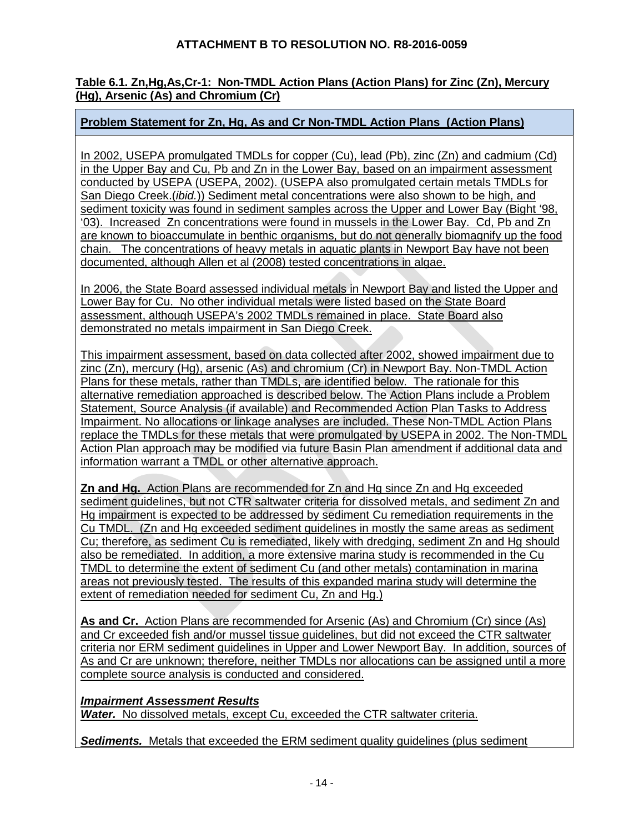### **Table 6.1. Zn,Hg,As,Cr-1: Non-TMDL Action Plans (Action Plans) for Zinc (Zn), Mercury (Hg), Arsenic (As) and Chromium (Cr)**

### **Problem Statement for Zn, Hg, As and Cr Non-TMDL Action Plans (Action Plans)**

In 2002, USEPA promulgated TMDLs for copper (Cu), lead (Pb), zinc (Zn) and cadmium (Cd) in the Upper Bay and Cu, Pb and Zn in the Lower Bay, based on an impairment assessment conducted by USEPA (USEPA, 2002). (USEPA also promulgated certain metals TMDLs for San Diego Creek.(*ibid.*)) Sediment metal concentrations were also shown to be high, and sediment toxicity was found in sediment samples across the Upper and Lower Bay (Bight '98, '03). Increased Zn concentrations were found in mussels in the Lower Bay. Cd, Pb and Zn are known to bioaccumulate in benthic organisms, but do not generally biomagnify up the food chain. The concentrations of heavy metals in aquatic plants in Newport Bay have not been documented, although Allen et al (2008) tested concentrations in algae.

In 2006, the State Board assessed individual metals in Newport Bay and listed the Upper and Lower Bay for Cu. No other individual metals were listed based on the State Board assessment, although USEPA's 2002 TMDLs remained in place. State Board also demonstrated no metals impairment in San Diego Creek.

This impairment assessment, based on data collected after 2002, showed impairment due to zinc (Zn), mercury (Hg), arsenic (As) and chromium (Cr) in Newport Bay. Non-TMDL Action Plans for these metals, rather than TMDLs, are identified below. The rationale for this alternative remediation approached is described below. The Action Plans include a Problem Statement, Source Analysis (if available) and Recommended Action Plan Tasks to Address Impairment. No allocations or linkage analyses are included. These Non-TMDL Action Plans replace the TMDLs for these metals that were promulgated by USEPA in 2002. The Non-TMDL Action Plan approach may be modified via future Basin Plan amendment if additional data and information warrant a TMDL or other alternative approach.

**Zn and Hg.** Action Plans are recommended for Zn and Hg since Zn and Hg exceeded sediment guidelines, but not CTR saltwater criteria for dissolved metals, and sediment Zn and Hg impairment is expected to be addressed by sediment Cu remediation requirements in the Cu TMDL. (Zn and Hg exceeded sediment guidelines in mostly the same areas as sediment Cu; therefore, as sediment Cu is remediated, likely with dredging, sediment Zn and Hg should also be remediated. In addition, a more extensive marina study is recommended in the Cu TMDL to determine the extent of sediment Cu (and other metals) contamination in marina areas not previously tested. The results of this expanded marina study will determine the extent of remediation needed for sediment Cu, Zn and Hg.)

**As and Cr.** Action Plans are recommended for Arsenic (As) and Chromium (Cr) since (As) and Cr exceeded fish and/or mussel tissue guidelines, but did not exceed the CTR saltwater criteria nor ERM sediment guidelines in Upper and Lower Newport Bay. In addition, sources of As and Cr are unknown; therefore, neither TMDLs nor allocations can be assigned until a more complete source analysis is conducted and considered.

#### *Impairment Assessment Results*

*Water.* No dissolved metals, except Cu, exceeded the CTR saltwater criteria.

**Sediments.** Metals that exceeded the ERM sediment quality guidelines (plus sediment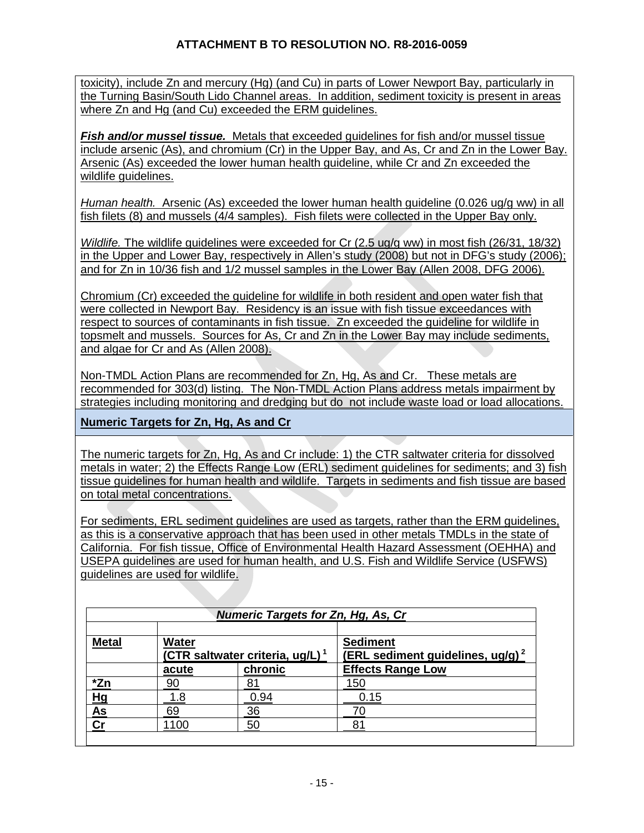toxicity), include Zn and mercury (Hg) (and Cu) in parts of Lower Newport Bay, particularly in the Turning Basin/South Lido Channel areas. In addition, sediment toxicity is present in areas where Zn and Hg (and Cu) exceeded the ERM quidelines.

*Fish and/or mussel tissue.* Metals that exceeded guidelines for fish and/or mussel tissue include arsenic (As), and chromium (Cr) in the Upper Bay, and As, Cr and Zn in the Lower Bay. Arsenic (As) exceeded the lower human health guideline, while Cr and Zn exceeded the wildlife guidelines.

*Human health.* Arsenic (As) exceeded the lower human health guideline (0.026 ug/g ww) in all fish filets (8) and mussels (4/4 samples). Fish filets were collected in the Upper Bay only.

*Wildlife.* The wildlife guidelines were exceeded for Cr (2.5 ug/g ww) in most fish (26/31, 18/32) in the Upper and Lower Bay, respectively in Allen's study (2008) but not in DFG's study (2006); and for Zn in 10/36 fish and 1/2 mussel samples in the Lower Bay (Allen 2008, DFG 2006).

Chromium (Cr) exceeded the guideline for wildlife in both resident and open water fish that were collected in Newport Bay. Residency is an issue with fish tissue exceedances with respect to sources of contaminants in fish tissue. Zn exceeded the guideline for wildlife in topsmelt and mussels. Sources for As, Cr and Zn in the Lower Bay may include sediments, and algae for Cr and As (Allen 2008).

Non-TMDL Action Plans are recommended for Zn, Hg, As and Cr. These metals are recommended for 303(d) listing. The Non-TMDL Action Plans address metals impairment by strategies including monitoring and dredging but do not include waste load or load allocations.

**Numeric Targets for Zn, Hg, As and Cr** 

The numeric targets for Zn, Hg, As and Cr include: 1) the CTR saltwater criteria for dissolved metals in water; 2) the Effects Range Low (ERL) sediment guidelines for sediments; and 3) fish tissue guidelines for human health and wildlife. Targets in sediments and fish tissue are based on total metal concentrations.

For sediments, ERL sediment guidelines are used as targets, rather than the ERM guidelines, as this is a conservative approach that has been used in other metals TMDLs in the state of California. For fish tissue, Office of Environmental Health Hazard Assessment (OEHHA) and USEPA guidelines are used for human health, and U.S. Fish and Wildlife Service (USFWS) guidelines are used for wildlife.

| <b>Numeric Targets for Zn, Hg, As, Cr</b> |                                                             |         |                                                                 |
|-------------------------------------------|-------------------------------------------------------------|---------|-----------------------------------------------------------------|
| <b>Metal</b>                              | <b>Water</b><br>(CTR saltwater criteria, ug/L) <sup>1</sup> |         | <b>Sediment</b><br>(ERL sediment guidelines, ug/g) <sup>2</sup> |
|                                           | acute                                                       | chronic | <b>Effects Range Low</b>                                        |
| *Zn                                       | 90                                                          |         | 150                                                             |
| Hg                                        | -8                                                          | 0.94    | 0.15                                                            |
| As                                        | 69                                                          | 36      |                                                                 |
| Сı                                        | 100                                                         | 5С      | 81                                                              |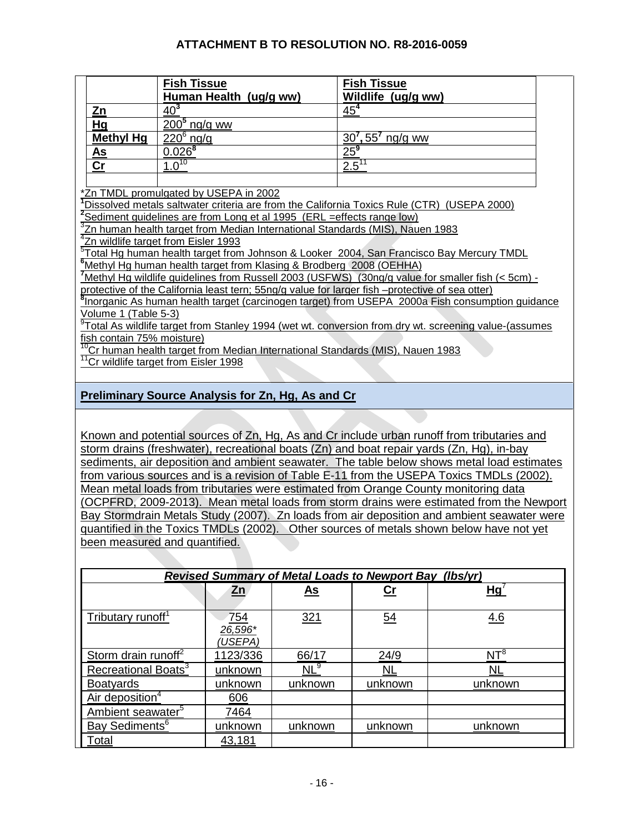|                                                                                                      | <b>Fish Tissue</b>                                                                                      | <b>Fish Tissue</b>                                                                                                |  |  |
|------------------------------------------------------------------------------------------------------|---------------------------------------------------------------------------------------------------------|-------------------------------------------------------------------------------------------------------------------|--|--|
|                                                                                                      | Human Health (ug/g ww)                                                                                  | Wildlife (ug/g ww)                                                                                                |  |  |
| Zn                                                                                                   | 40 <sup>3</sup>                                                                                         | 45 <sup>4</sup>                                                                                                   |  |  |
| Hg                                                                                                   | $2005$ ng/g ww                                                                                          |                                                                                                                   |  |  |
| <b>Methyl Hg</b>                                                                                     | $220^6$ ng/g                                                                                            | $30^7, 55^7$ ng/g ww                                                                                              |  |  |
| <u>As</u>                                                                                            | $0.026^{8}$                                                                                             | $\frac{25^{9}}{25^{9}}$                                                                                           |  |  |
| $\mathsf{Cr}$                                                                                        | $1.0^{10}$                                                                                              | $2.5^{11}$                                                                                                        |  |  |
|                                                                                                      |                                                                                                         |                                                                                                                   |  |  |
|                                                                                                      | *Zn TMDL promulgated by USEPA in 2002                                                                   |                                                                                                                   |  |  |
|                                                                                                      | <sup>1</sup> Dissolved metals saltwater criteria are from the California Toxics Rule (CTR) (USEPA 2000) |                                                                                                                   |  |  |
|                                                                                                      | <sup>2</sup> Sediment guidelines are from Long et al 1995 (ERL = effects range low)                     |                                                                                                                   |  |  |
|                                                                                                      | <sup>3</sup> Zn human health target from Median International Standards (MIS), Nauen 1983               |                                                                                                                   |  |  |
|                                                                                                      | <sup>4</sup> Zn wildlife target from Eisler 1993                                                        |                                                                                                                   |  |  |
| <sup>5</sup> Total Hg human health target from Johnson & Looker 2004, San Francisco Bay Mercury TMDL |                                                                                                         |                                                                                                                   |  |  |
| <sup>6</sup> Methyl Hg human health target from Klasing & Brodberg 2008 (OEHHA)                      |                                                                                                         |                                                                                                                   |  |  |
| Methyl Hg wildlife guidelines from Russell 2003 (USFWS) (30ng/g value for smaller fish (< 5cm) -     |                                                                                                         |                                                                                                                   |  |  |
| protective of the California least tern; 55ng/g value for larger fish --protective of sea otter)     |                                                                                                         |                                                                                                                   |  |  |
|                                                                                                      | Inorganic As human health target (carcinogen target) from USEPA 2000a Fish consumption guidance         |                                                                                                                   |  |  |
| Volume 1 (Table 5-3)                                                                                 |                                                                                                         |                                                                                                                   |  |  |
|                                                                                                      |                                                                                                         | <sup>9</sup> Total As wildlife target from Stanley 1994 (wet wt. conversion from dry wt. screening value-(assumes |  |  |
| fish contain 75% moisture)                                                                           |                                                                                                         |                                                                                                                   |  |  |
|                                                                                                      | <sup>10</sup> Cr human health target from Median International Standards (MIS), Nauen 1983              |                                                                                                                   |  |  |
|                                                                                                      | <sup>11</sup> Cr wildlife target from Eisler 1998                                                       |                                                                                                                   |  |  |
|                                                                                                      |                                                                                                         |                                                                                                                   |  |  |
|                                                                                                      |                                                                                                         |                                                                                                                   |  |  |

# **Preliminary Source Analysis for Zn, Hg, As and Cr**

Known and potential sources of Zn, Hg, As and Cr include urban runoff from tributaries and storm drains (freshwater), recreational boats (Zn) and boat repair yards (Zn, Hg), in-bay sediments, air deposition and ambient seawater. The table below shows metal load estimates from various sources and is a revision of Table E-11 from the USEPA Toxics TMDLs (2002). Mean metal loads from tributaries were estimated from Orange County monitoring data (OCPFRD, 2009-2013). Mean metal loads from storm drains were estimated from the Newport Bay Stormdrain Metals Study (2007). Zn loads from air deposition and ambient seawater were quantified in the Toxics TMDLs (2002). Other sources of metals shown below have not yet been measured and quantified.

| <b>Revised Summary of Metal Loads to Newport Bay (Ibs/yr)</b> |                                    |            |                  |                          |
|---------------------------------------------------------------|------------------------------------|------------|------------------|--------------------------|
|                                                               | <u>Zn</u>                          | <u>As</u>  | <u>Cr</u>        | <u>Hgʻ</u>               |
| Tributary runoff <sup>1</sup>                                 | <u>754</u><br>$26,596*$<br>(USEPA) | <u>321</u> | $\underline{54}$ | 4.6                      |
| Storm drain runoff <sup>2</sup>                               | 1123/336                           | 66/17      | 24/9             | $\overline{\text{NT}^8}$ |
| Recreational Boats <sup>3</sup>                               | unknown                            | $NL^9$     | <u>NL</u>        | <u>NL</u>                |
| <b>Boatyards</b>                                              | unknown                            | unknown    | unknown          | unknown                  |
| Air deposition <sup>4</sup>                                   | 606                                |            |                  |                          |
| Ambient seawater <sup>5</sup>                                 | 7464                               |            |                  |                          |
| Bay Sediments <sup>6</sup>                                    | unknown                            | unknown    | unknown          | unknown                  |
| Total                                                         | 43,181                             |            |                  |                          |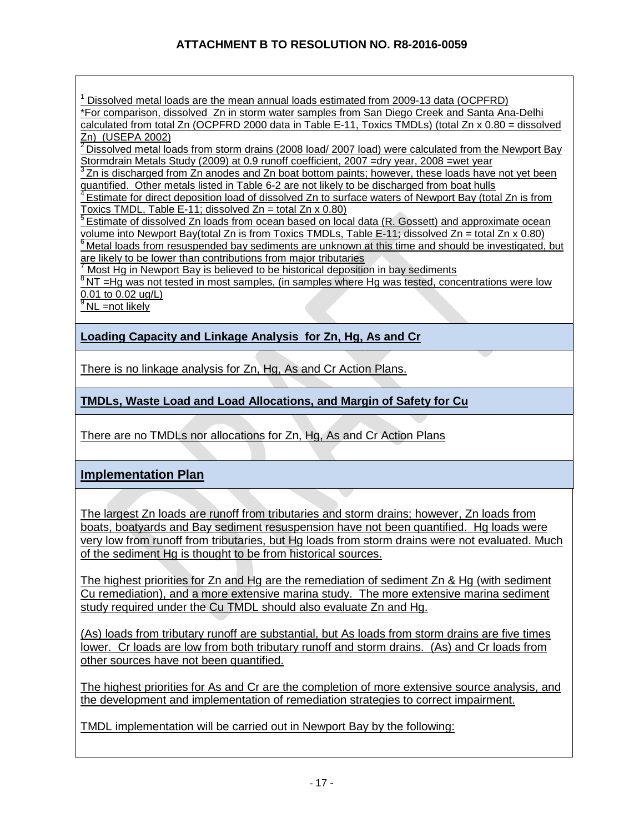$1$  Dissolved metal loads are the mean annual loads estimated from 2009-13 data (OCPFRD) \*For comparison, dissolved Zn in storm water samples from San Diego Creek and Santa Ana-Delhi calculated from total Zn (OCPFRD 2000 data in Table E-11, Toxics TMDLs) (total Zn x 0.80 = dissolved Zn) (USEPA 2002)

 $2$  Dissolved metal loads from storm drains (2008 load/ 2007 load) were calculated from the Newport Bay

Stormdrain Metals Study (2009) at 0.9 runoff coefficient, 2007 =dry year, 2008 =wet year<br><sup>3</sup> Zn is discharged from Zn anodes and Zn boat bottom paints; however, these loads have not yet been<br>quantified. Other metals listed

 $\frac{4}{1}$  Estimate for direct deposition load of dissolved Zn to surface waters of Newport Bay (total Zn is from Toxics TMDL, Table E-11; dissolved Zn = total Zn x 0.80)

 $5$  Estimate of dissolved Zn loads from ocean based on local data (R. Gossett) and approximate ocean

volume into Newport Bay(total Zn is from Toxics TMDLs, Table E-11; dissolved Zn = total Zn x 0.80) <sup>6</sup> Metal loads from resuspended bay sediments are unknown at this time and should be investigated, but are likely to be lower than contributions from major tributaries

<sup>7</sup> Most Hg in Newport Bay is believed to be historical deposition in bay sediments

 $8$ NT =Hg was not tested in most samples, (in samples where Hg was tested, concentrations were low  $0.01$  to 0.02 ug/L)

 $\sqrt[3]{N}$ NL =not likely

**Loading Capacity and Linkage Analysis for Zn, Hg, As and Cr**

There is no linkage analysis for Zn, Hg, As and Cr Action Plans.

**TMDLs, Waste Load and Load Allocations, and Margin of Safety for Cu** 

There are no TMDLs nor allocations for Zn, Hg, As and Cr Action Plans

**Implementation Plan**

The largest Zn loads are runoff from tributaries and storm drains; however, Zn loads from boats, boatyards and Bay sediment resuspension have not been quantified. Hg loads were very low from runoff from tributaries, but Hg loads from storm drains were not evaluated. Much of the sediment Hg is thought to be from historical sources.

The highest priorities for Zn and Hg are the remediation of sediment Zn & Hg (with sediment Cu remediation), and a more extensive marina study. The more extensive marina sediment study required under the Cu TMDL should also evaluate Zn and Hg.

(As) loads from tributary runoff are substantial, but As loads from storm drains are five times lower. Cr loads are low from both tributary runoff and storm drains. (As) and Cr loads from other sources have not been quantified.

The highest priorities for As and Cr are the completion of more extensive source analysis, and the development and implementation of remediation strategies to correct impairment.

TMDL implementation will be carried out in Newport Bay by the following: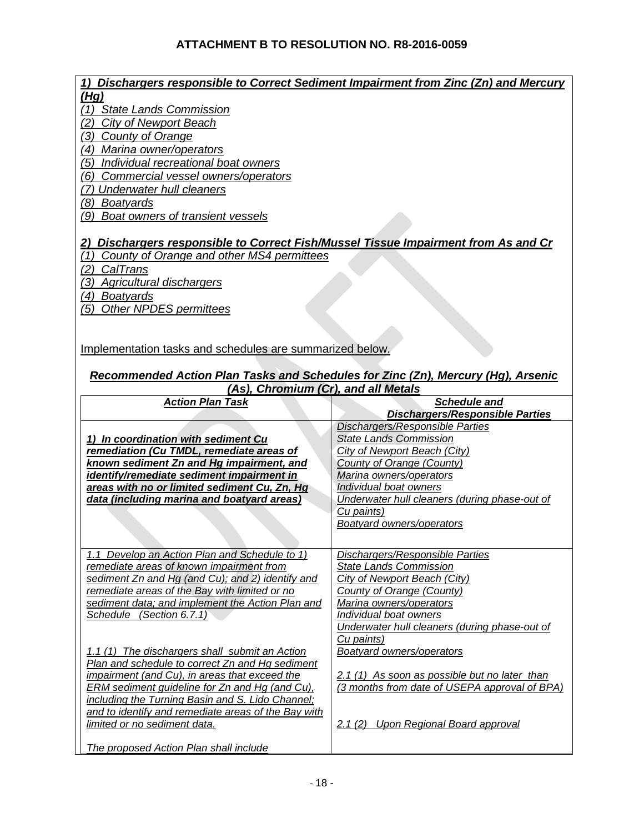| 1) Dischargers responsible to Correct Sediment Impairment from Zinc (Zn) and Mercury |                                               |
|--------------------------------------------------------------------------------------|-----------------------------------------------|
| (Hq)                                                                                 |                                               |
| (1) State Lands Commission                                                           |                                               |
| (2) City of Newport Beach                                                            |                                               |
| (3) County of Orange                                                                 |                                               |
| (4) Marina owner/operators                                                           |                                               |
|                                                                                      |                                               |
| (5)<br>Individual recreational boat owners                                           |                                               |
| Commercial vessel owners/operators<br>(6)                                            |                                               |
| (7) Underwater hull cleaners                                                         |                                               |
| (8) Boatyards                                                                        |                                               |
| (9) Boat owners of transient vessels                                                 |                                               |
|                                                                                      |                                               |
|                                                                                      |                                               |
| 2) Dischargers responsible to Correct Fish/Mussel Tissue Impairment from As and Cr   |                                               |
| (1) County of Orange and other MS4 permittees                                        |                                               |
| (2)<br>CalTrans                                                                      |                                               |
| (3)<br><b>Agricultural dischargers</b>                                               |                                               |
| (4) Boatyards                                                                        |                                               |
| (5) Other NPDES permittees                                                           |                                               |
|                                                                                      |                                               |
|                                                                                      |                                               |
|                                                                                      |                                               |
| Implementation tasks and schedules are summarized below.                             |                                               |
|                                                                                      |                                               |
| Recommended Action Plan Tasks and Schedules for Zinc (Zn), Mercury (Hg), Arsenic     |                                               |
| (As), Chromium (Cr), and all Metals                                                  |                                               |
| <b>Action Plan Task</b>                                                              | <b>Schedule and</b>                           |
|                                                                                      |                                               |
|                                                                                      |                                               |
|                                                                                      | Dischargers/Responsible Parties               |
|                                                                                      | Dischargers/Responsible Parties               |
| 1) In coordination with sediment Cu                                                  | <b>State Lands Commission</b>                 |
| remediation (Cu TMDL, remediate areas of                                             | City of Newport Beach (City)                  |
| known sediment Zn and Hg impairment, and                                             | County of Orange (County)                     |
| identify/remediate sediment impairment in                                            | Marina owners/operators                       |
| areas with no or limited sediment Cu, Zn, Hg                                         | Individual boat owners                        |
| data (including marina and boatyard areas)                                           | Underwater hull cleaners (during phase-out of |
|                                                                                      | Cu paints)                                    |
|                                                                                      |                                               |
|                                                                                      | <b>Boatyard owners/operators</b>              |
|                                                                                      |                                               |
| 1.1 Develop an Action Plan and Schedule to 1)                                        | <b>Dischargers/Responsible Parties</b>        |
| remediate areas of known impairment from                                             | <b>State Lands Commission</b>                 |
| sediment Zn and Hg (and Cu); and 2) identify and                                     | City of Newport Beach (City)                  |
| remediate areas of the Bay with limited or no                                        | County of Orange (County)                     |
|                                                                                      | Marina owners/operators                       |
| sediment data; and implement the Action Plan and                                     |                                               |
| Schedule (Section 6.7.1)                                                             | Individual boat owners                        |
|                                                                                      | Underwater hull cleaners (during phase-out of |
|                                                                                      | Cu paints)                                    |
| 1.1 (1) The dischargers shall submit an Action                                       | <b>Boatyard owners/operators</b>              |
| Plan and schedule to correct Zn and Hg sediment                                      |                                               |
| impairment (and Cu), in areas that exceed the                                        | 2.1 (1) As soon as possible but no later than |
| <b>ERM</b> sediment guideline for Zn and Hg (and Cu),                                | (3 months from date of USEPA approval of BPA) |
| including the Turning Basin and S. Lido Channel;                                     |                                               |
| and to identify and remediate areas of the Bay with                                  |                                               |
| limited or no sediment data.                                                         | 2.1 (2) Upon Regional Board approval          |
| The proposed Action Plan shall include                                               |                                               |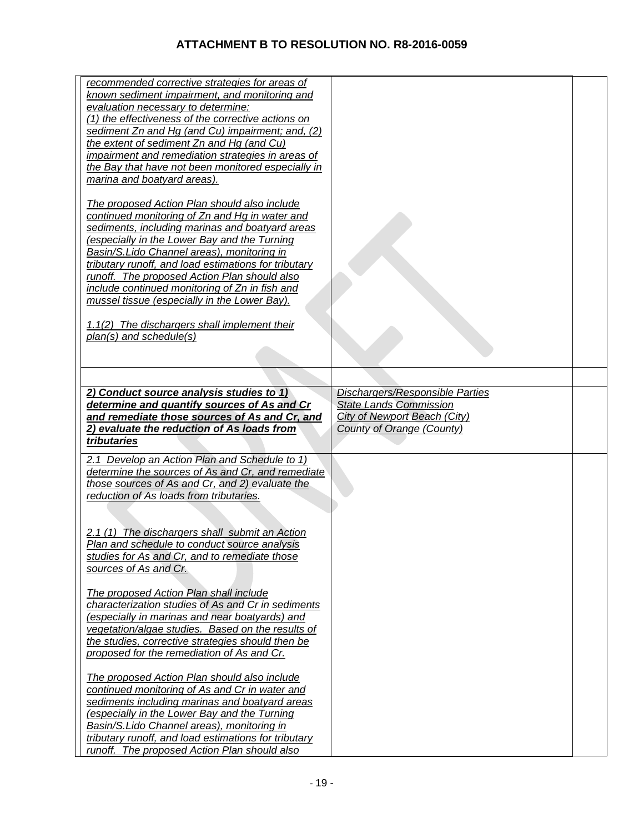| recommended corrective strategies for areas of<br>known sediment impairment, and monitoring and<br>evaluation necessary to determine:<br>(1) the effectiveness of the corrective actions on<br>sediment Zn and Hg (and Cu) impairment; and, (2)<br>the extent of sediment Zn and Hg (and Cu)<br>impairment and remediation strategies in areas of<br>the Bay that have not been monitored especially in<br>marina and boatyard areas).<br>The proposed Action Plan should also include<br>continued monitoring of Zn and Hg in water and<br>sediments, including marinas and boatyard areas<br>(especially in the Lower Bay and the Turning<br>Basin/S. Lido Channel areas), monitoring in<br>tributary runoff, and load estimations for tributary<br>runoff. The proposed Action Plan should also<br>include continued monitoring of Zn in fish and<br>mussel tissue (especially in the Lower Bay).<br>1.1(2) The dischargers shall implement their<br>$plan(s)$ and schedule(s)<br>2) Conduct source analysis studies to 1)<br>Dischargers/Responsible Parties<br>determine and quantify sources of As and Cr<br><b>State Lands Commission</b> |                                                |  |
|--------------------------------------------------------------------------------------------------------------------------------------------------------------------------------------------------------------------------------------------------------------------------------------------------------------------------------------------------------------------------------------------------------------------------------------------------------------------------------------------------------------------------------------------------------------------------------------------------------------------------------------------------------------------------------------------------------------------------------------------------------------------------------------------------------------------------------------------------------------------------------------------------------------------------------------------------------------------------------------------------------------------------------------------------------------------------------------------------------------------------------------------------|------------------------------------------------|--|
|                                                                                                                                                                                                                                                                                                                                                                                                                                                                                                                                                                                                                                                                                                                                                                                                                                                                                                                                                                                                                                                                                                                                                  |                                                |  |
|                                                                                                                                                                                                                                                                                                                                                                                                                                                                                                                                                                                                                                                                                                                                                                                                                                                                                                                                                                                                                                                                                                                                                  |                                                |  |
|                                                                                                                                                                                                                                                                                                                                                                                                                                                                                                                                                                                                                                                                                                                                                                                                                                                                                                                                                                                                                                                                                                                                                  |                                                |  |
|                                                                                                                                                                                                                                                                                                                                                                                                                                                                                                                                                                                                                                                                                                                                                                                                                                                                                                                                                                                                                                                                                                                                                  |                                                |  |
|                                                                                                                                                                                                                                                                                                                                                                                                                                                                                                                                                                                                                                                                                                                                                                                                                                                                                                                                                                                                                                                                                                                                                  |                                                |  |
|                                                                                                                                                                                                                                                                                                                                                                                                                                                                                                                                                                                                                                                                                                                                                                                                                                                                                                                                                                                                                                                                                                                                                  |                                                |  |
|                                                                                                                                                                                                                                                                                                                                                                                                                                                                                                                                                                                                                                                                                                                                                                                                                                                                                                                                                                                                                                                                                                                                                  |                                                |  |
|                                                                                                                                                                                                                                                                                                                                                                                                                                                                                                                                                                                                                                                                                                                                                                                                                                                                                                                                                                                                                                                                                                                                                  |                                                |  |
|                                                                                                                                                                                                                                                                                                                                                                                                                                                                                                                                                                                                                                                                                                                                                                                                                                                                                                                                                                                                                                                                                                                                                  |                                                |  |
|                                                                                                                                                                                                                                                                                                                                                                                                                                                                                                                                                                                                                                                                                                                                                                                                                                                                                                                                                                                                                                                                                                                                                  |                                                |  |
|                                                                                                                                                                                                                                                                                                                                                                                                                                                                                                                                                                                                                                                                                                                                                                                                                                                                                                                                                                                                                                                                                                                                                  |                                                |  |
|                                                                                                                                                                                                                                                                                                                                                                                                                                                                                                                                                                                                                                                                                                                                                                                                                                                                                                                                                                                                                                                                                                                                                  |                                                |  |
|                                                                                                                                                                                                                                                                                                                                                                                                                                                                                                                                                                                                                                                                                                                                                                                                                                                                                                                                                                                                                                                                                                                                                  |                                                |  |
|                                                                                                                                                                                                                                                                                                                                                                                                                                                                                                                                                                                                                                                                                                                                                                                                                                                                                                                                                                                                                                                                                                                                                  |                                                |  |
|                                                                                                                                                                                                                                                                                                                                                                                                                                                                                                                                                                                                                                                                                                                                                                                                                                                                                                                                                                                                                                                                                                                                                  |                                                |  |
|                                                                                                                                                                                                                                                                                                                                                                                                                                                                                                                                                                                                                                                                                                                                                                                                                                                                                                                                                                                                                                                                                                                                                  |                                                |  |
|                                                                                                                                                                                                                                                                                                                                                                                                                                                                                                                                                                                                                                                                                                                                                                                                                                                                                                                                                                                                                                                                                                                                                  |                                                |  |
|                                                                                                                                                                                                                                                                                                                                                                                                                                                                                                                                                                                                                                                                                                                                                                                                                                                                                                                                                                                                                                                                                                                                                  |                                                |  |
|                                                                                                                                                                                                                                                                                                                                                                                                                                                                                                                                                                                                                                                                                                                                                                                                                                                                                                                                                                                                                                                                                                                                                  |                                                |  |
|                                                                                                                                                                                                                                                                                                                                                                                                                                                                                                                                                                                                                                                                                                                                                                                                                                                                                                                                                                                                                                                                                                                                                  |                                                |  |
|                                                                                                                                                                                                                                                                                                                                                                                                                                                                                                                                                                                                                                                                                                                                                                                                                                                                                                                                                                                                                                                                                                                                                  |                                                |  |
|                                                                                                                                                                                                                                                                                                                                                                                                                                                                                                                                                                                                                                                                                                                                                                                                                                                                                                                                                                                                                                                                                                                                                  |                                                |  |
|                                                                                                                                                                                                                                                                                                                                                                                                                                                                                                                                                                                                                                                                                                                                                                                                                                                                                                                                                                                                                                                                                                                                                  |                                                |  |
|                                                                                                                                                                                                                                                                                                                                                                                                                                                                                                                                                                                                                                                                                                                                                                                                                                                                                                                                                                                                                                                                                                                                                  |                                                |  |
|                                                                                                                                                                                                                                                                                                                                                                                                                                                                                                                                                                                                                                                                                                                                                                                                                                                                                                                                                                                                                                                                                                                                                  |                                                |  |
|                                                                                                                                                                                                                                                                                                                                                                                                                                                                                                                                                                                                                                                                                                                                                                                                                                                                                                                                                                                                                                                                                                                                                  |                                                |  |
|                                                                                                                                                                                                                                                                                                                                                                                                                                                                                                                                                                                                                                                                                                                                                                                                                                                                                                                                                                                                                                                                                                                                                  |                                                |  |
|                                                                                                                                                                                                                                                                                                                                                                                                                                                                                                                                                                                                                                                                                                                                                                                                                                                                                                                                                                                                                                                                                                                                                  |                                                |  |
|                                                                                                                                                                                                                                                                                                                                                                                                                                                                                                                                                                                                                                                                                                                                                                                                                                                                                                                                                                                                                                                                                                                                                  |                                                |  |
|                                                                                                                                                                                                                                                                                                                                                                                                                                                                                                                                                                                                                                                                                                                                                                                                                                                                                                                                                                                                                                                                                                                                                  |                                                |  |
|                                                                                                                                                                                                                                                                                                                                                                                                                                                                                                                                                                                                                                                                                                                                                                                                                                                                                                                                                                                                                                                                                                                                                  |                                                |  |
|                                                                                                                                                                                                                                                                                                                                                                                                                                                                                                                                                                                                                                                                                                                                                                                                                                                                                                                                                                                                                                                                                                                                                  |                                                |  |
|                                                                                                                                                                                                                                                                                                                                                                                                                                                                                                                                                                                                                                                                                                                                                                                                                                                                                                                                                                                                                                                                                                                                                  |                                                |  |
|                                                                                                                                                                                                                                                                                                                                                                                                                                                                                                                                                                                                                                                                                                                                                                                                                                                                                                                                                                                                                                                                                                                                                  |                                                |  |
|                                                                                                                                                                                                                                                                                                                                                                                                                                                                                                                                                                                                                                                                                                                                                                                                                                                                                                                                                                                                                                                                                                                                                  |                                                |  |
|                                                                                                                                                                                                                                                                                                                                                                                                                                                                                                                                                                                                                                                                                                                                                                                                                                                                                                                                                                                                                                                                                                                                                  |                                                |  |
|                                                                                                                                                                                                                                                                                                                                                                                                                                                                                                                                                                                                                                                                                                                                                                                                                                                                                                                                                                                                                                                                                                                                                  |                                                |  |
| City of Newport Beach (City)                                                                                                                                                                                                                                                                                                                                                                                                                                                                                                                                                                                                                                                                                                                                                                                                                                                                                                                                                                                                                                                                                                                     | and remediate those sources of As and Cr, and  |  |
| 2) evaluate the reduction of As loads from<br><b>County of Orange (County)</b>                                                                                                                                                                                                                                                                                                                                                                                                                                                                                                                                                                                                                                                                                                                                                                                                                                                                                                                                                                                                                                                                   |                                                |  |
|                                                                                                                                                                                                                                                                                                                                                                                                                                                                                                                                                                                                                                                                                                                                                                                                                                                                                                                                                                                                                                                                                                                                                  |                                                |  |
| tributaries                                                                                                                                                                                                                                                                                                                                                                                                                                                                                                                                                                                                                                                                                                                                                                                                                                                                                                                                                                                                                                                                                                                                      |                                                |  |
|                                                                                                                                                                                                                                                                                                                                                                                                                                                                                                                                                                                                                                                                                                                                                                                                                                                                                                                                                                                                                                                                                                                                                  |                                                |  |
| 2.1 Develop an Action Plan and Schedule to 1)                                                                                                                                                                                                                                                                                                                                                                                                                                                                                                                                                                                                                                                                                                                                                                                                                                                                                                                                                                                                                                                                                                    |                                                |  |
| determine the sources of As and Cr, and remediate                                                                                                                                                                                                                                                                                                                                                                                                                                                                                                                                                                                                                                                                                                                                                                                                                                                                                                                                                                                                                                                                                                |                                                |  |
| those sources of As and Cr, and 2) evaluate the                                                                                                                                                                                                                                                                                                                                                                                                                                                                                                                                                                                                                                                                                                                                                                                                                                                                                                                                                                                                                                                                                                  |                                                |  |
|                                                                                                                                                                                                                                                                                                                                                                                                                                                                                                                                                                                                                                                                                                                                                                                                                                                                                                                                                                                                                                                                                                                                                  |                                                |  |
| reduction of As loads from tributaries.                                                                                                                                                                                                                                                                                                                                                                                                                                                                                                                                                                                                                                                                                                                                                                                                                                                                                                                                                                                                                                                                                                          |                                                |  |
|                                                                                                                                                                                                                                                                                                                                                                                                                                                                                                                                                                                                                                                                                                                                                                                                                                                                                                                                                                                                                                                                                                                                                  |                                                |  |
|                                                                                                                                                                                                                                                                                                                                                                                                                                                                                                                                                                                                                                                                                                                                                                                                                                                                                                                                                                                                                                                                                                                                                  |                                                |  |
|                                                                                                                                                                                                                                                                                                                                                                                                                                                                                                                                                                                                                                                                                                                                                                                                                                                                                                                                                                                                                                                                                                                                                  |                                                |  |
|                                                                                                                                                                                                                                                                                                                                                                                                                                                                                                                                                                                                                                                                                                                                                                                                                                                                                                                                                                                                                                                                                                                                                  |                                                |  |
|                                                                                                                                                                                                                                                                                                                                                                                                                                                                                                                                                                                                                                                                                                                                                                                                                                                                                                                                                                                                                                                                                                                                                  | 2.1 (1) The dischargers shall submit an Action |  |
|                                                                                                                                                                                                                                                                                                                                                                                                                                                                                                                                                                                                                                                                                                                                                                                                                                                                                                                                                                                                                                                                                                                                                  |                                                |  |
|                                                                                                                                                                                                                                                                                                                                                                                                                                                                                                                                                                                                                                                                                                                                                                                                                                                                                                                                                                                                                                                                                                                                                  | Plan and schedule to conduct source analysis   |  |
|                                                                                                                                                                                                                                                                                                                                                                                                                                                                                                                                                                                                                                                                                                                                                                                                                                                                                                                                                                                                                                                                                                                                                  | studies for As and Cr, and to remediate those  |  |
| sources of As and Cr.                                                                                                                                                                                                                                                                                                                                                                                                                                                                                                                                                                                                                                                                                                                                                                                                                                                                                                                                                                                                                                                                                                                            |                                                |  |
|                                                                                                                                                                                                                                                                                                                                                                                                                                                                                                                                                                                                                                                                                                                                                                                                                                                                                                                                                                                                                                                                                                                                                  |                                                |  |
|                                                                                                                                                                                                                                                                                                                                                                                                                                                                                                                                                                                                                                                                                                                                                                                                                                                                                                                                                                                                                                                                                                                                                  |                                                |  |
| The proposed Action Plan shall include                                                                                                                                                                                                                                                                                                                                                                                                                                                                                                                                                                                                                                                                                                                                                                                                                                                                                                                                                                                                                                                                                                           |                                                |  |
| characterization studies of As and Cr in sediments                                                                                                                                                                                                                                                                                                                                                                                                                                                                                                                                                                                                                                                                                                                                                                                                                                                                                                                                                                                                                                                                                               |                                                |  |
| (especially in marinas and near boatyards) and                                                                                                                                                                                                                                                                                                                                                                                                                                                                                                                                                                                                                                                                                                                                                                                                                                                                                                                                                                                                                                                                                                   |                                                |  |
|                                                                                                                                                                                                                                                                                                                                                                                                                                                                                                                                                                                                                                                                                                                                                                                                                                                                                                                                                                                                                                                                                                                                                  |                                                |  |
| vegetation/algae studies. Based on the results of                                                                                                                                                                                                                                                                                                                                                                                                                                                                                                                                                                                                                                                                                                                                                                                                                                                                                                                                                                                                                                                                                                |                                                |  |
| the studies, corrective strategies should then be                                                                                                                                                                                                                                                                                                                                                                                                                                                                                                                                                                                                                                                                                                                                                                                                                                                                                                                                                                                                                                                                                                |                                                |  |
| proposed for the remediation of As and Cr.                                                                                                                                                                                                                                                                                                                                                                                                                                                                                                                                                                                                                                                                                                                                                                                                                                                                                                                                                                                                                                                                                                       |                                                |  |
|                                                                                                                                                                                                                                                                                                                                                                                                                                                                                                                                                                                                                                                                                                                                                                                                                                                                                                                                                                                                                                                                                                                                                  |                                                |  |
|                                                                                                                                                                                                                                                                                                                                                                                                                                                                                                                                                                                                                                                                                                                                                                                                                                                                                                                                                                                                                                                                                                                                                  |                                                |  |
| The proposed Action Plan should also include                                                                                                                                                                                                                                                                                                                                                                                                                                                                                                                                                                                                                                                                                                                                                                                                                                                                                                                                                                                                                                                                                                     |                                                |  |
|                                                                                                                                                                                                                                                                                                                                                                                                                                                                                                                                                                                                                                                                                                                                                                                                                                                                                                                                                                                                                                                                                                                                                  |                                                |  |
| continued monitoring of As and Cr in water and                                                                                                                                                                                                                                                                                                                                                                                                                                                                                                                                                                                                                                                                                                                                                                                                                                                                                                                                                                                                                                                                                                   |                                                |  |
| sediments including marinas and boatyard areas                                                                                                                                                                                                                                                                                                                                                                                                                                                                                                                                                                                                                                                                                                                                                                                                                                                                                                                                                                                                                                                                                                   |                                                |  |
| (especially in the Lower Bay and the Turning                                                                                                                                                                                                                                                                                                                                                                                                                                                                                                                                                                                                                                                                                                                                                                                                                                                                                                                                                                                                                                                                                                     |                                                |  |
|                                                                                                                                                                                                                                                                                                                                                                                                                                                                                                                                                                                                                                                                                                                                                                                                                                                                                                                                                                                                                                                                                                                                                  |                                                |  |
| Basin/S.Lido Channel areas), monitoring in                                                                                                                                                                                                                                                                                                                                                                                                                                                                                                                                                                                                                                                                                                                                                                                                                                                                                                                                                                                                                                                                                                       |                                                |  |
| tributary runoff, and load estimations for tributary<br>runoff. The proposed Action Plan should also                                                                                                                                                                                                                                                                                                                                                                                                                                                                                                                                                                                                                                                                                                                                                                                                                                                                                                                                                                                                                                             |                                                |  |